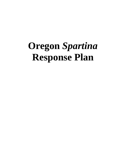# **Oregon** *Spartina* **Response Plan**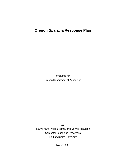# **Oregon** *Spartina* **Response Plan**

*Prepared for*  Oregon Department of Agriculture

*By* Mary Pfauth, Mark Sytsma, and Dennis Isaacson Center for Lakes and Reservoirs Portland State University

March 2003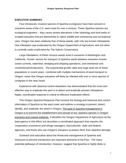#### **EXECUTIVE SUMMARY**

Four introduced, invasive species of *Spartina* (cordgrass) have been present in estuarine areas of the U.S. west coast for over a century. These *Spartina* species are ecological engineers – they cause severe alterations in the hydrology and food webs of invaded estuaries that are detrimental to native wildlife and commercial and recreational uses. Oregon has been relatively free of these weeds, with only two known infestations. One infestation was eradicated by the Oregon Department of Agriculture, and the other is currently under eradication by The Nature Conservancy.

Large infestations of these noxious weeds exist in estuaries inWashington and California. Known vectors for transport of *Spartina* seeds between estuaries include ocean currents, waterfowl, dredging and shipping operations, and intentional and unintentional introductions. The exponential growth rates and huge seed set of these populations in recent years, combined with multiple mechanisms of seed transport to Oregon, mean that Oregon estuaries will likely be infested with one or more species of cordgrass in the near future.

Experience with *Spartina* control elsewhere has demonstrated that the most costeffective way to eradicate this pest is to detect and eradicate pioneer infestations. Rapid, coordinated response is critical to effective eradication efforts.

This Oregon *Spartina* Response Plan reviews the biology and historical and current information of *Spartina* on the west coast and outlines a strategy to prevent, detect, identify, and eradicate the weed in Oregon. The goal of *Spartina* management in Oregon is to prevent the establishment and spread of any *Spartina* species in Oregon estuaries and coastal wetlands. It identifies the Oregon Department of Agriculture as the lead agency in this effort, but describes a coordinated approach that requires the cooperation of preserve and refuge managers, mariculturists, state and federal agencies, and those who use Oregon's estuaries to protect them from *Spartina* damage.

Outreach and education about the threat and management of *Spartina* and measures to prevent introduction are important elements of the Plan. The many potential pathways of introduction, however, suggest that *Spartina* is highly likely to

i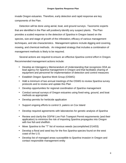invade Oregon estuaries. Therefore, early detection and rapid response are key components of the Plan.

Detection will be done using aerial, boat, and ground surveys. Taxonomic experts that are identified in the Plan will positively identify any suspect plants. The Plan provides a scaled response to the detection of *Spartina* in Oregon based on the species, size and stage of growth of the infestation, efficacy of various management techniques, and site characteristics. Management options include digging and covering, mowing, and chemical methods. An integrated strategy that includes a combination of management methods is likely to be required.

Several actions are required to ensure an effective *Spartina* control effort in Oregon. Recommended management actions include:

- Develop an Interagency Memorandum of Understanding that recognizes ODA as lead agency for *Spartina* management in Oregon and that facilitates sharing of equipment and personnel for implementation of detection and control measures
- Establish Oregon *Spartina* Work Group (OSWG)
- Hold a minimum of two annual meetings of the OSWG to review *Spartina* survey protocols and to review and update this Plan
- Develop opportunities for regional coordination of *Spartina* management
- Conduct annual surveys of Oregon estuaries using fixed-wing, ground, and boat methods as appropriate
- Develop permits for herbicide application
- Support ongoing efforts to control *S. patens* on Cox Island
- Develop required agreements with laboratories for genetic analysis of *Spartina*
- Review and clarify the ODFW Live Fish Transport Permit requirements (and their application) to minimize the risk of importing *Spartina* propagules into Oregon with live fish and shellfish.
- Move *Spartina* to the "T" list of noxious weeds (accomplished 2/14/03)
- Develop a floral and seed key for the five *Spartina* species found on the west coast of the U.S.
- Develop list of managed areas susceptible to *Spartina* invasion in Oregon and contact responsible management entity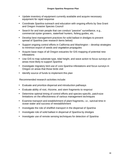- Update inventory of equipment currently available and acquire necessary equipment for rapid response
- Coordinate *Spartina* outreach and education with ongoing efforts by Sea Grant and Oregon Invasive Species Council
- Search for and train people that can conduct "passive" surveillance, e.g., commercial oyster growers, waterfowl hunters, fishing guides, etc.
- Develop best management practices for solid ballast in dredges to prevent spread of *Spartina* (see research items below)
- Support ongoing control efforts in California and Washington develop strategies to minimize export of seeds and vegetative propagules
- Acquire base maps of all Oregon estuaries for GIS mapping of potential new infestations
- Use GIS to map substrate type, tidal height, and wave action to focus surveys on areas most likely to support *Spartina*
- Investigate migratory bird use of core *Spartina* infestations and focus surveys in Oregon on areas that those birds visit
- Identify source of funds to implement this plan

Recommended research activities include:

- Evaluate and prioritize dispersal and introduction pathways
- Evaluate ability of root, rhizome, and stem fragments to resprout
- Determine optimal timing of control efforts and species-specific, patch-size limitations on the effectiveness of various management techniques
- Examine transport and establishment of plant fragments, i.e., survival time in ocean water and success of reestablishment
- Investigate the role of shellfish transport in the dispersal of *Spartina*
- Investigate role of solid ballast in dispersal of *Spartina* by dredges
- Investigate use of remote sensing techniques for detection of *Spartina*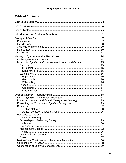## **Table of Contents**

| Non-native Spartina in California, Washington, and Oregon  15 |  |
|---------------------------------------------------------------|--|
|                                                               |  |
|                                                               |  |
|                                                               |  |
|                                                               |  |
|                                                               |  |
|                                                               |  |
|                                                               |  |
|                                                               |  |
|                                                               |  |
|                                                               |  |
|                                                               |  |
|                                                               |  |
|                                                               |  |
|                                                               |  |
|                                                               |  |
|                                                               |  |
|                                                               |  |
|                                                               |  |
|                                                               |  |
|                                                               |  |
|                                                               |  |
|                                                               |  |
|                                                               |  |
|                                                               |  |
|                                                               |  |
|                                                               |  |
|                                                               |  |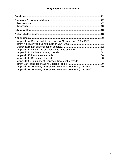| Funding.                                                         | 41  |
|------------------------------------------------------------------|-----|
|                                                                  |     |
|                                                                  |     |
|                                                                  |     |
|                                                                  | .43 |
|                                                                  | .48 |
| Appendices                                                       | 50  |
| Appendix A. Stream outlets surveyed for Spartina in 1998 & 1999  |     |
|                                                                  |     |
|                                                                  |     |
|                                                                  |     |
|                                                                  |     |
|                                                                  |     |
|                                                                  |     |
| Appendix G. Summary of Proposed Treatment Methods                |     |
|                                                                  |     |
| Appendix G. Summary of Proposed Treatment Methods (continued)60  |     |
| Appendix G. Summary of Proposed Treatment Methods (continued) 61 |     |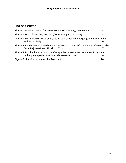## **LIST OF FIGURES**

| Figure 1. Areal increase of S. alterniflora in Willapa Bay, Washington.  4              |  |
|-----------------------------------------------------------------------------------------|--|
|                                                                                         |  |
| Figure 3. Expansion of cover of S. patens on Cox Island, Oregon (data from Frenkel      |  |
| Figure 4. Dependence of eradication success and mean effort on initial infestation size |  |
| Figure 5. Distribution of exotic Spartina species in west coast estuaries. Dominant,    |  |
|                                                                                         |  |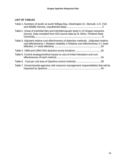## **LIST OF TABLES**

| Table 1. Numbers of dunlin at south Willapa Bay, Washington (C. Stenvall, U.S. Fish                                                                                             |  |
|---------------------------------------------------------------------------------------------------------------------------------------------------------------------------------|--|
| Table 2. Areas of intertidal flats and intertidal aquatic beds in 14 Oregon estuaries<br>(Acres). Data compiled from GIS source data by M. Mintz, Portland State                |  |
| Table 3. Adjusted relative cost effectiveness of detection methods . (Adjusted relative<br>cost effectiveness = Relative reliability X Relative cost effectiveness; $0 =$ least |  |
|                                                                                                                                                                                 |  |
| Table 5. Control strategy/method based on size of initial infestation and cost                                                                                                  |  |
|                                                                                                                                                                                 |  |
| Table 7. Governmental agencies with resource management responsibilities that will be                                                                                           |  |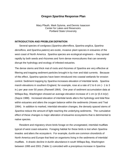## **Oregon** *Spartina* **Response Plan**

Mary Pfauth, Mark Sytsma, and Dennis Isaacson Center for Lakes and Reservoirs Portland State University

#### **INTRODUCTION AND PROBLEM DEFINITION**

Several species of cordgrass (*Spartina alterniflora*, *Spartina anglica*, *Spartina densiflora*, and *Spartina patens*) are exotic, invasive plant species in estuaries of the west coast of North America. *Spartina* species are ecological engineers – they spread rapidly by both seeds and rhizomes and form dense monocultures that can severely disrupt the hydrology and ecology of infested estuaries*.*

The dense stems and thick mat of roots and rhizomes of *Spartina* are very effective at filtering and trapping sediment particles brought in by river and tidal currents*.* Because of this effect, *Spartina* species have been introduced into coastal wetlands for erosion control. Sediment trapping by *Spartina* increases elevation of intertidal lands*. Spartina* marsh elevations in southern England, for example, rose at a rate of 2 to 6 cm ( $\sim$  1 to 3 in.) per year over 50 years (Ranwell 1964). One year of sediment accumulation data at Willapa Bay, Washington showed an average elevation increase of 1 cm /yr (0.4 in/yr) (Sayce 1988). Increased elevation of intertidal lands alters the hydrology and tidal flow within estuaries and alters the oxygen balance within the sediments (Howes and Teal 1994). In addition to marked, intertidal elevation changes, the densely spaced stems of *Spartina* reduce the amount of light reaching the underlying sediments*.* The cumulative effect of these changes is major alteration of estuarine ecosystems that is detrimental to native species.

Resident and migratory shore birds forage on the unvegetated, intertidal mudflats typical of west coast estuaries. Foraging habitat for these birds is lost when *Spartina* invades and alters the ecosystem*.* For example, dunlin are common shorebirds of North America and Europe that feed on organisms living in the sediments of intertidal mudflats. A drastic decline in dunlin abundance in south Willapa Bay, Washington between 1995 and 2001 (Table 1) coincided with a precipitous increase in *Spartina*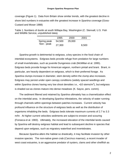coverage (Figure 1). Data from Britain show similar trends, with the greatest decline in shore bird numbers in estuaries with the greatest increase in *Spartina* coverage (Goss-Custard and Moser 1988)

Table 1. Numbers of dunlin at south Willapa Bay, Washington (C. Stenvall, U.S*.* Fish and Wildlife Service, unpublished data).

|             | 1995   | 2000   | 2001  |  |
|-------------|--------|--------|-------|--|
| Spring peak | 54,500 | 29,000 |       |  |
| Non - peak  | 27,300 |        | 8,500 |  |

*Spartina* growth is detrimental to eelgrass, a key species in the food chain of intertidal ecosystems*.* Eelgrass beds provide refuge from predation for large numbers of small invertebrates, such as juvenile Dungeness crab (McMillan et al. 1995). Eelgrass beds provide forage for American wigeon, northern pintail and brant. Brant, in particular, are heavily dependent on eelgrass, which is their preferred forage. As *Spartina* clumps increase in diameter, stem density within the clump also increases*.* Eelgrass may persist under open canopy conditions (widely spaced seedlings and within *Spartina* clones having very low shoot densities i.e., <10 stems/m<sup>2</sup>), but eelgrass is shaded out as clones mature into dense meadows (K. Sayce, pers*.* comm).

The sediment filtered and retained by *Spartina* ultimately has a channelization effect on the intertidal area. In developing *Spartina* infestations, the velocity of water running through channels within openings between patches increases. Current velocity has profound influence on the structure of eelgrass beds as well as the distribution of organisms inhabiting the beds*.* Eelgrass beds tolerate maximum currents of 2.7 to 3.3 m/hr. At higher current velocities sediments are subject to erosion and scouring (Fonseca et al. 1983). Ultimately, the increased elevation of the intertidal lands caused by *Spartina* will destroy eelgrass habitat and lead to subsequent decline in species that depend upon eelgrass, such as migratory waterfowl and invertebrates.

Because *Spartina* alters the habitat so drastically, it may facilitate invasion by other invasive species*.* The non-native green crab (*Carcinus maenas*), a recent invader of west coast estuaries, is an aggressive predator of oysters, clams and other shellfish as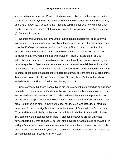well as native crab species*.* Green crabs have been collected on the edges of native salt marshes and in *Spartina* meadows in Washington estuaries, including Willapa Bay and Grays Harbor (WA Department of Fish and Wildlife electronic news release 1998). Studies suggest that green crab have more available habitat when *Spartina* is present (B. Dumbauld in prep).

Daehler and Strong (1996) evaluated Pacific coast estuaries for risk to *Spartina* invasion based on estuarine physical characteristics and species characteristics. They consider 13 Oregon estuaries north of the Coquille River to be at risk to *Spartina* invasion. River mouths south of the Coquille have steep gradients with little or no tidelands that are vulnerable to *Spartina* invasion (Figure 2) (Cortright et al. 1987). While the entire intertidal area within estuaries is potentially at risk for invasion by one or more species of *Spartina*, two estuarine habitat types – intertidal flats and intertidal aquatic beds – are particularly vulnerable. There are 33,660 acres of intertidal flats and intertidal aquatic beds that account for approximately 26 percent of the total area of the 14 estuaries vulnerable to *Spartina* invasion in Oregon (Table 2) (the authors have added the Salmon River to Daehler and Strong's list of 13).

Some areas within these habitat types are more susceptible to *Spartina* colonization than others. For example, intertidal mudflats are far more likely sites of invasion than are cobbled flats (Hacker et al. 2001). Individual estuaries vary in the proportions of different habitat types, therefore the estuaries will differ in their relative, potential at-risk area. Estuaries also differ in their spring tidal range, fetch, and latitude, all of which have been found to be significant factors in the spread of *Spartina* in the British Isles (Gray and Raybould 1997)*.* In the short term, it is unlikely that *Spartina* will colonize 100 percent of the potential at-risk area. If pioneer infestations are left untreated, however, it is likely that at least 10 percent of the available habitat could be invaded. In Willapa Bay, where control measures were not taken until after pioneer populations had been in existence for over 50 years, there are 5,000 infested acres out of 52,800 acres of intertidal habitat (areas at MHHW  $= 0.09$ ).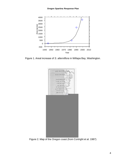

Figure 1. Areal increase of *S. alterniflora* in Willapa Bay, Washington.



Figure 2. Map of the Oregon coast (from Cortright et al. 1987)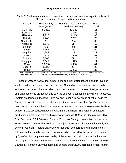| Estuary          | <b>Total Estuary</b> | <b>Mudflat &amp; Intertidal Aquatic</b> | $%$ of         |
|------------------|----------------------|-----------------------------------------|----------------|
|                  | Area (acres)         | Bed Area (acres)                        | Total          |
| Columbia         | 81,811               | 12,263                                  | 15             |
| Nehalem          | 2,749                | 1,046                                   | 38             |
| <b>Tillamook</b> | 9,216                | 6,115                                   | 66             |
| <b>Netarts</b>   | 2,743                | 2,052                                   | 75             |
| <b>Sand Lake</b> | 897                  | 294                                     | 33             |
| <b>Nestucca</b>  | 1,176                | 614                                     | 52             |
| Salmon           | 438                  | 94                                      | 21             |
| <b>Siletz</b>    | 1,461                | 861                                     | 59             |
| Yaquina          | 4,349                | 1,191                                   | 27             |
| Alsea            | 2,516                | 1,279                                   | 51             |
| <b>Siuslaw</b>   | 3,060                | 712                                     | 23             |
| Umpqua           | 6,544                | 1,425                                   | 22             |
| Coos             | 13,300               | 5,460                                   | 41             |
| Coquille         | 1,082                | 254                                     | $\frac{23}{2}$ |
| <b>Totals</b>    | 130,342              | 33,660                                  | 26             |

Table 2. Total areas and areas of intertidal mudflats and intertidal aquatic beds in 14 Oregon estuaries vulnerable to *Spartina* invasion.

Data compiled from the Oregon Estuary Plan Book digital map layers by M. Mintz, Portland State University. Projection data: http://ims.reo.gov/website/swop/html/data\_catalog/metadata/esthabcq\_cc.htm

Loss of wetland habitat that supports multiple beneficial uses to *Spartina* invasion would result in substantial economic impact. Some direct economic impacts can be estimated, but others that are indirect, such as the effect of the loss of eelgrass habitat on Dungeness crab production and survival of juvenile salmonids, are difficult to assess. Oysters are farmed in the lower intertidal and upper subtidal areas of estuaries in the Pacific Northwest, so increased elevation of these areas caused by *Spartina* renders them unfit for oyster cultivation. Commercial culture of oysters on state-owned lands in Oregon in 2001 produced harvests valued at \$1.4 million. The value of estimated production on both non-state and state-owned lands is \$5.2 million (data provided by John Faudskar, OSU Extension Service, Tillamook County). In addition to direct crop losses, coastal communities could also lose jobs associated directly and indirectly with oyster production. Recreational opportunities such as sport fishing (including shell fishing), boating, and beach access would also be reduced by the infilling of estuaries by *Spartina*. Not only are these quality of life issues, but their loss or reduction also pose significant threats to tourism in Oregon coastal communities. The value of wildlife viewing in Tillamook Bay was estimated at more than \$1,000/acre for intertidal habitat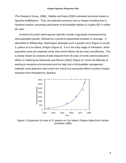(The Research Group, 1999). Radtke and Davis (2000) estimated economic losses to *Spartina* at \$666/acre. Thus, the potential economic loss to Oregon resulting from a *Spartina* invasion, assuming colonization of all available habitat, is roughly \$22.4 million per year.

Invasions by exotic weed species typically include a lag phase characterized by slow population growth, followed by a period of exponential increase in coverage. *S. alterniflora* in Willapa Bay, Washington displayed such a growth curve (Figure 1) as did *S. patens* on Cox Island, Oregon (Figure 3). It is in the early stage of infestation, when population sizes are relatively small, that control efforts can be most cost effective. This is clearly shown by analysis of data obtained from 28 years of exotic weed eradication efforts in California by Rejmanek and Pitcairn (2002) (Figure 4). Given the difficulty of working in estuarine environments and the high cost of all available management methods, early detection and control are critical to a successful effort to protect Oregon estuaries from infestation by *Spartina*.



Figure 3. Expansion of cover of *S. patens* on Cox Island, Oregon (data from Frenkel and Boss 1988)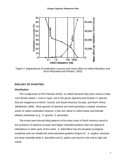

Figure 4. Dependence of eradication success and mean effort on initial infestation size (from Rejmanek and Pitcairn, 2002)

#### **BIOLOGY OF** *SPARTINA*

#### **Distribution**

The cordgrasses of the Poaceae family, so called because they were used to make cord (Greek sparte = cord or rope), are in the genus *Spartina* and include 17 species that are indigenous to North, Central, and South America, Europe, and North Africa (Mobberley 1956). Most species of *Spartina* are found growing in coastal, estuarine areas on saline substrates however, a few are native to inland areas and tolerate alkaline substrates (e.g., *S. gracilis, S. pectinata*).

The mixed semi-diurnal tidal patterns of the west coast of North America result in the presence of *Spartina* at lower and higher intertidal positions than are typical of infestations in other parts of the world. *S. alterniflora* has the broadest ecological amplitude and can inhabit the entire elevation gradient (Figure 5). *S. anglica* colonizes the lower intertidal while *S. densiflora* and *S. patens* are found in the mid to high salt marsh.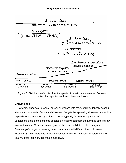

Figure 5. Distribution of exotic *Spartina* species in west coast estuaries. Dominant, native plant species are listed above each zone.

## **Growth habit**

*Spartina* species are robust, perennial grasses with stout, upright, densely spaced stems and thick mats of roots and rhizomes*.* Vegetative spread by rhizomes can rapidly expand the area covered by a clone. Clones typically form circular patches of vegetation; large clones of some species are easily seen from the air while others grow in mixed stands. *S. densiflora* can grow in the same habitat as tufted hairgrass, *Deschampsia cespitosa*, making detection from aircraft difficult at best. In some locations, *S. alterniflora* has formed monospecific swards that have transformed open tidal mudflats into high, salt marsh meadows*.*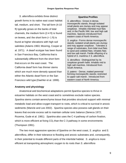*S. alterniflora* exhibits three distinct growth forms in its native east coast habitat: tall, medium, and short. The tall form (4-10 ft) typically grows on the banks of tidal channels, the medium form (2-4 ft) is found on levees, and the short form  $(= 1 ft)$  is found at higher elevations with high soil salinities (Adams 1963; Mooring, Cooper et al. 1971). A dwarf ecotype has been found in San Francisco Bay, California that is substantially different from the short form that occurs on the east coast. The California dwarf form has thinner stems which are much more densely spaced than either the Atlantic dwarf form or the San Francisco wild type (Daehler et al. 1999).

## *Spartina* **Profiles**

*S. alterniflora* - Grows in dense, monospecific stands, though isolated small plants are clumpy and may appear cespitose. Inhabits intertidal mud flats and, in the Pacific NW, low and high salt marshes. Species introduced from eastern coast of North America.

*S. anglica* - Forms dense monospecific stands; isolated small plants are clumpy and may appear cespitose . Tolerates a range of substrates, from tidal mud flats to sand and cobbled flats; inhabits flats and low salt marsh. Fertile offspring of a hybrid of *S*. *maritima X S. alterniflora.*

*S. densiflora* - Distinguished by its cespitose growth habit. Inhabits mid to high salt marshes. Introduced from South America.

*S. patens* - Dense, matted perennial forming monospecific stands; restricted to upper salt marsh. Introduced from eastern coast of North America.

## **Anatomy and physiology**

Anatomical and biochemical adaptations permit *Spartina* species to thrive in estuarine habitats on the west coast and to sometimes exclude native species. *Spartina* stems contain aerenchyma tissue that provides structural support with minimal metabolic load and allow oxygen transport to roots, which is critical to survival in anoxic sediments (Maricle and Lee 2002). *Spartina* species also possess salt glands on their leaves that excrete excess salt to maintain cellular ionic balance (Seneca 1972; Rozema, Gude et al. 1981). *Spartina* also uses the C-4 pathway of carbon fixation, which is more efficient at fixing  $CO<sub>2</sub>$  than the C-3 pathway in some environments (Thompson 1991).

The two most aggressive species of *Spartina* on the west coast, *S. anglica* and *S. alterniflora*, differ in their tolerance to flooding and anoxic substrates and, consequently, in their potential to invade different parts of the intertidal habitat. *S. anglica* is more efficient at transporting atmospheric oxygen to its roots than *S. alterniflora*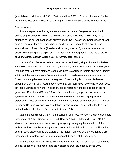(Mendelssohn, McKee et al. 1981; Maricle and Lee 2002). This could account for the greater success of *S. anglica* in colonizing the lower elevations of the intertidal zone.

#### **Reproduction**

*Spartina* reproduces by vegetative and sexual means. Vegetative reproduction occurs by production of new tillers from underground rhizomes. Tillers may remain attached to the parent plant or can survive and thrive if detached. Small pieces of root, such as remain after a root mass has been dug up, are capable of regrowth and establishment of new plants (Reeder and Hacker, in review); however, there is no evidence that tilling and digging efforts, which generate fragments, have led to dispersal of *Spartina* infestation in Willapa Bay (K. Sayce, pers. comm.).

The *Spartina* inflorescence is a congested spike bearing single-flowered spikelets. Each flower can produce a single seed (an achene). Individual flowers are protogynous (stigmas mature before stamens), although there is overlap in female and male function within an inflorescence since flowers at the bottom can have mature stamens while flowers at the top have only mature stigmas. Thus, selfing is possible. Pollination experiments with *S. alterniflora* have shown that self-pollinated flowers have lower seed set than outcrossed flowers. In addition, seeds resulting from self pollination did not germinate (Daehler and Strong 1994). Factors influencing reproductive success in *Spartina* include location of the clone in the intertidal and inbreeding depression, especially in populations resulting from very small numbers of founder plants. The San Francisco Bay and Willapa Bay populations consist of mixtures of highly fertile clones and virtually sterile clones (Daehler and Strong 1994).

*Spartina* seeds require a 3-4 month period of cool, wet storage in order to germinate (Mooring et al. 1971; Broome et al. 1974; Seneca 1974). Plyler and Carrick (1993) showed that dormancy can be broken by surgically damaging the scutellum of the embryo and restored by treating altered seeds with abscisic acid. Thus, it is likely that autumn seed dispersal into the waters of the marsh, followed by their residence there throughout the winter, leaches a germination inhibitor out of the scutellum.

*Spartina* seeds can germinate in substrate salinities as high as 40 ppt (seawater is 35 ppt), although germination rates are highest at lower salinities (Seneca 1972;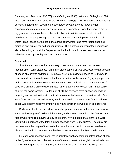Shumway and Bertness 1992; Wijte and Gallagher 1996). Wijte and Gallagher (1996) also found that *Spartina* seeds would germinate at oxygen concentrations as low as 2.5 percent. Interestingly, seedling shoot emergence was faster at lower oxygen concentrations and root emergence was slower, possibly allowing the shoot to provide oxygen from the atmosphere to the root. High soil salinities may develop in salt marshes later in the growing season as evapotranspiration depletes interstitial soil water. Thus, seeds germinate in the spring after winter rains have replenished soil moisture and diluted soil salt concentrations. The biomass of germinated seedlings is also affected by soil salinity; 50 percent reduction in total biomass was observed at salinities of 19.2 ppt or higher (Lewis and Weber 2002).

#### **Dispersal**

*Spartina* can be spread from estuary to estuary by human and nonhuman mechanisms*.* Long-distance, nonhuman dispersal of *Spartina* spp. occurs via transport of seeds on currents and tides*.* Huiskes et al. (1995) collected seeds of *S. anglica* in floating and standing nets in a tidal salt marsh in the Netherlands. Eighty-eight percent of the seeds collected were captured in floating nets, indicating that tidal transport of seed was primarily on the water surface rather than along the sediment. In an earlier study in the same location, Koutsaal et al. (1987) released dyed sunflower seeds on outgoing and incoming tides to track tidal movement of seeds in the salt marsh. Seeds were found as much as 45 km away within one week of release. The final location of seeds was determined by the wind velocity and direction as well as by tidal currents.

Birds may also be an important natural dispersal mechanism for *Spartina*. Vivian-Smith and Stiles (1994) collected, identified, and counted seeds from the feathers and feet of waterfowl from a New Jersey salt marsh. While seeds of 11 plant taxa were identified, 30 percent of the total number of seeds were *S. alterniflora*. The study did not determine the origin of the seeds, i.e., whether from within the same marsh or a distant one, but it did demonstrate that birds can be a vector for *Spartina* dispersal.

Humans were responsible for the initial intentional or accidental introduction of nonnative *Spartina* species to the estuaries of the west coast. Although importation is now banned in Oregon and Washington, accidental transport of *Spartina* is likely. Ship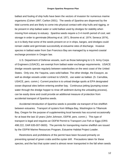ballast and fouling of ship hulls have been the vectors of invasion for numerous marine organisms (Cohen 1997; Carlton 2001). The seeds of *Spartina* are dispersed by the tidal currents and are likely to come into physical contact with ship hulls and rigging, or be present in ship ballast water or solid ballast used by dredges for stability when moving from estuary to estuary. *Spartina* seeds require a 3-4 month period of cool, wet storage in order to germinate (Mooring et al. 1971; Broome et al. 1974; Seneca 1974), so it is likely that some of the seeds present on or in ships, barges, and dredges could remain viable and germinate successfully at estuarine sites of discharge. Invasive species in ballast water from San Francisco Bay are managed by a required coastal exchange provision in Oregon law.

U.S. Department of Defense vessels, such as those belonging to U.S. Army Corps of Engineers (USACE), are exempt from ballast water exchange requirements. USACE dredge vessels operate regularly between waterbodies on the west coast of the United States. Only one, the Yaquina, uses solid ballast. The other dredge, the Essayon, as well as dredge vessels under contract to USACE, use water as ballast. (S. Carrubba, USACE, pers. comm.) Current practice is to unload dredge spoils at EPA designated ocean disposal sites before entering another bay. Continuous jetting (pumping ocean water through the dredge hopper to rinse off sediment during the unloading process), can be easily done and could provide an additional measure of protection from accidental transport of *Spartina* seeds.

Accidental introduction of *Spartina* seeds is possible via transport of live shellfish between estuaries. Transport of oysters from Willapa Bay, Washington to Tillamook Bay, Oregon for the purpose of supplementing local harvests has occurred occasionally for at least the last 10 years (John Johnson, ODFW, pers. comm.). This type of transport is legal and requires an ODFW Permit to Transport Live Fish or Eggs (ORS 498.222, OAR 635-007-0600). The permits for transporting marine shellfish are issued by the ODFW Marine Resources Program, Estuarine Habitat Project Leader.

Restrictions and prohibitions of the permit have been focused primarily on preventing spread of green crabs and the oyster drill. Precautions taken for these species, and the fact that oyster seed is almost never transported in the fall when seeds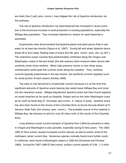are shed (Sue Cudd, pers. comm.), may mitigate the risk of *Spartina* introduction via this pathway.

The risk of *Spartina* introduction via seed dispersal has increased in recent years due to the enormous increase in seed production in exisitng populations, especially the Willapa Bay population. Thus increased attention to vectors for seed dispersal is warranted.

Experiments have demonstrated that*Spartina* plants and plant pieces float in salt water for at least two months (Sayce et al. 1997). During fall and winter *Spartina* stems break off to form large, floating mats of wrack (Ed Hill, pers. comm.; pers. obs. by M.P.). The nearshore ocean currents flow predominately northward along the Oregon and Washington coasts in fall and winter (the wet season) when moisture laden storms with southerly winds move onshore. When high pressure moves in over these areas, northwesterly winds push the currents south along the coastline. Thus, northerly currents typically predominate in the wet season, but southerly currents regularly occur for some portion of each season (Hickey 1998).

The early to mid-fall period is of particular concern because it is at this time that significant amounts of *Spartina* wrack bearing ripe seeds leave Willapa Bay and move into the nearshore ocean. Willapa Bay-derived *Spartina* wrack has been found regularly on ocean beaches as far south as Seaside, Oregon and on the outer Washington coast as far north as Neah Bay (F. Grevstad, pers*.*comm.; K. Sayce, in prep). *Spartina* wrack has also been found on the shores of the Columbia River at Social Security Beach at Ft. Stevens State Park (Jon Graves, pers*.* comm.). The probable source of this material is Willapa Bay, the entrance to which is only 26 miles north of the mouth of the Columbia River.

Long distance ocean current transport of *Spartina* from California estuaries to sites in Oregon and Washington is also possible, especially during El Nino years*.* The 1982- 1983 El Nino events caused increased current velocity as well as earlier onset of the northward, winter current flow. Numerous species normally found much further south, in California, were found in Washington waters in 1982-83 (Schoener and Fluharty 1984). During the 1997-1998 El Nino event, surface current speeds of 0.89 - 1.3 mi/hr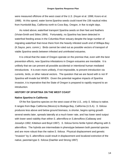were measured offshore of the west coast of the U.*S.* (Huyer et al. 1998; Kosro et al. 1998). At this speed, water borne *Spartina* seeds could travel the 156 nautical miles from Humboldt Bay, California north to Coos Bay, Oregon, in five to eight days*.*

As noted above, waterfowl transport *Spartina* seeds on their feet and feathers (Vivian-Smith and Stiles 1994). Fortunately, no *Spartina* has been detected in waterfowl feeding areas in the Columbia River estuary despite the large number of migrating waterfowl that move there from the heavily infested south end of Willapa Bay (K.Sayce, pers. comm.). Birds cannot be ruled out as possible vectors of transport of viable *Spartina* seeds between infested and uninfested estuaries.

It is critical that the state of Oregon operate on the premise that, even with the best prevention efforts, new *Spartina* infestations in Oregon estuaries are inevitable. It is unlikely that we can prevent all possible accidental or intentional human mediated introduction*s.* It is even more unlikely, if not impossible, to prevent introduction via currents, birds, or other natural vectors*.* The question that we are faced with is not IF *Spartina* will invade but WHEN. Given the potential negative impacts of *Spartina* invasion, it is imperative that the State of Oregon is prepared to rapidly respond to an introduction.

## **HISTORY OF** *SPARTINA* **ON THE WEST COAST**

## **Native** *Spartina* **in California**

Of the five *Spartina* species on the west coast of the U.*S.*, only *S. foliosa* is native. It ranges from Baja California (Mexico) to Bodega Bay, California (U.S*.*A). *S. foliosa* produces less above and below ground biomass, is shorter, begins spring growth several weeks later, spreads laterally at a much lower rate, and has lower seed output with lower seed viability than either *S. alterniflora* or *S.densiflora* (Callaway and Josselyn 1992; Kittelson and Boyd 1997). *S. foliosa* forms fertile hybrid offspring with *S. alterniflora*. The hybrids are intermediate in phenotype between both parental species and are more robust than the native *S. foliosa*. Physical displacement and genetic "invasion" by *S. alterniflora* could result in displacement and localized extinction of the native, parental-type *S. foliosa* (Daehler and Strong 1997)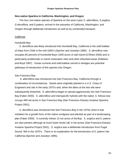## **Non-native** *Spartina* **in California, Washington, and Oregon**

The four non-native species of *Spartina* on the west coast, *S. alterniflora*, *S.anglica, S.densiflora*, and *S.patens*, arrived in the estuaries of California, Washington, and Oregon through deliberate introduction as well as by unintended transport.

## California

## Humboldt Bay

*S. densiflora* was likely introduced into Humboldt Bay, California in the solid ballast of ships from Chile in the mid-1800's (Spicher and Josselyn 1985). *S. densiflora* now occupies 80 percent of Humboldt Bay's 1000 acres of salt marsh (O'Brien 2000) and is particularly problematic in marsh restoration sites and other disturbed areas (Kittelson and Boyd 1997). Ocean currents and solid ballast carried in dredges are potential pathways of introduction of this species into Oregon.

## San Francisco Bay

*S. alterniflora* was introduced into San Francisco Bay, California through a combination of circumstances*.* Seeds were originally planted in a U.*S.* Corps of Engineers test site in the early 1970's and, when the dikes at the test site were subsequently breached, *S. alterniflora* began to spread aggressively into San Francisco Bay (Faber 2000). *S. alterniflora* and interspecific hybrids with the native *S. foliosa* now occupy 469 net acres in San Francisco Bay (San Francisco Estuary Invasive *Spartina* Project 2001).

*S. densiflora* was introduced into San Francisco Bay in the 1970s when it was mistaken for a growth form of the native cordgrass and planted as part of a landscaping plan (Faber 2000). It currently infests 13 net acres of the Bay. *S. anglica* and *S. patens* are also present although at much lower levels (≤0 .6 net acres) (San Francisco Estuary Invasive *Spartina* Project 2001). *S. anglica* was a deliberate introduction from Puget Sound, WA in the 1970's. There is no explanation for the introduction of *S. patens* into California (Spicher and Josselyn 1985).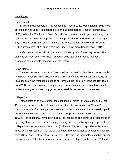#### Washington

#### Puget Sound

*S. anglica* was deliberately introduced into Puget Sound, Washington in 1961 by an agronomist who used it to stabilize dikes and as cattle forage (Hacker, Heimer et al. 2001). When the Washington State Department of Wildlife first began monitoring this species prior to 1979 , it comprised nine clumps distributed in Port Susan and Skagit Bays (Aberle 1993). By 1997, *S. anglica* had infested approximately 988 net acres (8,182 gross acres) at 73 sites within the Puget Sound area (Hacker et al. 2001).

*S. densiflora* was found in Puget Sound in 2001 by *Spartina* survey crews. The pathway of introduction is unknown although solid ballast in dredges has been suggested as a possible mechanism of movement.

#### Grays Harbor

The discovery of a 1.6 acre (.67 hectare) infestation of *S. densiflora* in Grays Harbor (and north Puget Sound) in 2001 by *Spartina* survey crews were the first sightings of this species on the west coast outside of Humboldt Bay and San Francisco Bay (data from W. Brown, pers.comm.). The pathway of introduction is unknown although solid ballast in dredges has been suggested as a possible mechanism of movement.

#### Willapa Bay

Transplantation of oysters from the east coast of North America at the turn of the 19th century was the likely pathway of introduction of *S. alterniflora* to Willapa Bay, Washington. *Spartina* plant parts or seeds probably contaminated barrels used to pack oyster spat and young adults for shipment to Willapa Bay in the 1800's and early 1900's. The seeds may have been introduced into the barrels either on oyster shells or by being blown into open barrels during packing and were subsequently dispersed into Willapa Bay upon arrival and unpacking (Civille and Sayce, in prep). The Willapa Bay infestation originated from a single or a very few introduced clones according to a DNA study (Stiller and Denton 1995). In just over 100 years, the initial infestation has spread to cover over 5,000 net acres with an areal increase of 50 percent between 1990 and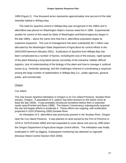1999 (Figure 2). Five thousand acres represents approximately nine percent of the total intertidal habitat in Willapa Bay.

The need for *Spartina* control in Willapa Bay was recognized in the 1980s and *S. alterniflora* was placed on Washington State's noxious weed list in 1989. Experimental studies for control of this weed by State of Washington and federal agencies began in the late 1980s – about the same time that the *S. alterniflora* population began its explosive expansion. The cost of management has been substantial; \$2.1 million was allocated by the Washington State Department of Agriculture for control efforts in the 2002/2003 biennium (Murphy 2001). Eradication of *Spartina* from Willapa Bay has been complicated by a number of factors, including the size of the estuary, rapid spread of the plant following a long latent period, sensitivity of the estuarine habitat, difficult logistics, lack of understanding of the biology of the plant and how to manage it, political issues (e.g., herbicide spraying), and the challenges inherent in coordinating a response among the large number of stakeholders in Willapa Bay (i.e., public agencies, general public, and commercial).

## Oregon

## Cox Island

The only known *Spartina* infestation in Oregon is on Cox Island Preserve, Siuslaw River estuary, Oregon. A population of *S. patens* has been present on the island since at least the late 1930s*.* It was probably introduced sometime before then in imported oyster spat (Frenkel and Boss 1988). The Nature Conservancy subsequently acquired the site and began efforts to eradicate it. These efforts are ongoing, with eradication projected in 2010 (Pickering 2000).Siuslaw River

An infestation of *S. alterniflora* was previously present in the Siuslaw River, Oregon near the Cox Island Preserve. It was planted on land owned by the Port of Florence in 1978 or 1979 (Frenkel 1990) and had expanded to cover about one acre by 1990 when the Oregon Department of Agriculture began control efforts*.* The infestation was finally eradicated in 1997 by digging. Subsequent monitoring has detected no regrowth (Noxious Weed Control Section ODA 2000).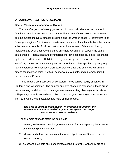#### **OREGON** *SPARTINA* **RESPONSE PLAN**

#### **Goal of** *Spartina* **Management in Oregon**

The *Spartina* genus of weedy grasses could drastically alter the structure and function of intertidal and low marsh communities of any of the state's major estuaries and the outlets of several smaller streams along the Oregon coast. *S. alterniflora* is an "ecological engineer"; its invasion results in replacement of mudflats that are the natural substrate for a complex food web that includes invertebrates, fish and wildlife, by meadows and deep drainage and surge channels, which do not support the same communities. Recreational and commercial shellfish populations are also jeopardized by loss of mudflat habitat. Habitats used by several species of shorebirds and waterfowl, some rare, would disappear. No other known plant species or plant group has the potential to so seriously disrupt coastal wetlands and estuaries, which are among the most ecologically critical, economically valuable, and extremely limited habitat types in Oregon.

These impacts are not based on conjecture – they can be readily observed in California and Washington. The number and size of affected estuaries in these areas are increasing, and the costs of management are escalating. Management costs in Willapa Bay currently exceed one million dollars per year. Four *Spartina* species are likely to invade Oregon estuaries and have similar impacts.

#### *The goal of Spartina management in Oregon is to prevent the establishment and spread of any Spartina species in Oregon estuaries and coastal wetlands.*

The five main efforts to attain the goal are to

- 1) prevent, to the extent practical, the movement of *Spartina* propagules to areas suitable for *Spartina* invasion;
- 2) educate and inform agencies and the general public about *Spartina* and the need to control it;
- 3) detect and eradicate any pioneer infestations, preferably while they are still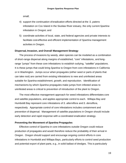small;

- 4) support the continuation of eradication efforts directed at the *S. patens* infestation on Cox Island in the Siuslaw River estuary, the only current *Spartina* infestation in Oregon; and
- 5) coordinate activities of local, state, and federal agencies and private interests to facilitate cost-effective and efficient implementation of *Spartina* management activities in Oregon.

#### **Dispersal, Invasion, and Overall Management Strategy**

The process of invasions by weedy, alien species can be modeled as a combination of short-range dispersal along margins of established, "core" infestations, and longrange "jumps" from these core infestations to establish outlying, "satellite" populations. It is these jumps that could bring *Spartina* to Oregon from core infestations in California or in Washington. Jumps occur when propagules (either seed or parts of plants that can take root) are carried from existing infestations to new and uninfested areas suitable for *Spartina* establishment, growth, and reproduction. Identification of mechanisms by which *Spartina* propagules make jumps from infested areas to uninfested areas is critical to prevention of introduction of the plant to Oregon.

The most effective management approach for weed infestations differentiates core and satellite populations, and applies appropriate control to each. Willapa Bay and Humboldt Bay represent core infestations of *S. alterniflora* and *S. densiflora*, respectively. Appropriate control of core infestations includes containment and prevention of dispersal. Management of satellite populations in Oregon should include early detection and rapid response with a coordinated eradication strategy.

## **Preventing the Movement of** *Spartina* **Propagules**

Effective control of *Spartina* in core infestations outside Oregon could reduce production of propagules and would therefore reduce the probability of their arrival in Oregon. Oregon should support and encourage ongoing control efforts in core infestations in Humboldt and Willapa Bays, particularly efforts to control seed production and potential export of plant parts, e.g., in solid ballast of dredges. This is particularly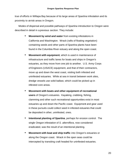true of efforts in Willapa Bay because of its large areas of *Spartina* infestation and its proximity to at-risk areas in Oregon.

Modes of dispersal and possible pathways of *Spartina* introduction to Oregon were described in detail in a previous section. They include:

- **Movement by wind and water** from existing infestations in California and Washington. Wrack (rafts of floating vegetation) containing seeds and other parts of *Spartina* plants have been found in the Columbia River estuary and along the open coast.
- **Movement with equipment, which is used in maintenance of** infrastructure and traffic lanes for boats and ships in Oregon's estuaries, as they move from one job to another. U.S. Army Corps of Engineers (USACE) equipment, and that of their contractors, move up and down the west coast, visiting both infested and uninfested estuaries. While at sea in transit between work sites, dredge vessels use solid ballast, which could be picked up in infested core areas.
- **Movement with boats and other equipment of recreational users** of Oregon's estuaries. Kayaking, crabbing, fishing, clamming and other such recreational opportunities exist in most estuaries up and down the Pacific coast. Equipment and gear used in these pursuits could collect seed in infested estuaries that could be deposited in other, uninfested, ones.
- **Intentional planting of** *Spartina*, perhaps for erosion control. The single Oregon infestation of *S. alterniflora*, now considered eradicated, was the result of an intentional planting.
- **Movement with boat and ship traffic** into Oregon's estuaries or along the Oregon coast. Wrack in the open seas could be intercepted by transiting craft headed for uninfested estuaries.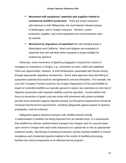- **Movement with equipment, materials and supplies related to commercial shellfish production**. There are oyster producers with interests in both Willapa Bay, the most heavily infested estuary in Washington, and in Oregon estuaries. Workers, oysterproduction supplies, and some equipment are moved between sites as needed.
- **Movement by migrations of waterfowl** that visit infested areas in Washington and California. Brant and widgeon are examples of waterfowl that visit and feed within estuaries in areas suitable for invasion by *Spartina*.

Obviously, some movement of *Spartina* propagules is beyond the control of managers or institutions in Oregon, e.g., movement via wind, water and waterfowl. There are opportunities, however, to limit introductions associated with human activity through appropriate regulatory mechanisms. Some state agencies have permitting or quarantine authority that could be strengthened to prevent infestation. For example, the Live Fish Transport Permits issued by the Oregon Department of Fish and Wildlife for import of controlled shellfish are typically general in nature, but restrictions to limit risk of *Spartina* introduction with imported shellfish could be specified. Current efforts that focus on prevention of green crab and oyster drill movement with oysters probably provide some protection against *Spartina* spread, but the permit requirements should be reviewed and the permit requirements, including safeguards against spread of *Spartina* propagules, must be enforced.

Safeguards against *Spartina* transport with shellfishshould include: 1) determination if shellfish are being imported from an infested area; 2) a requirement that shellfish be chlorine-washed before transport into Oregon; and 3) a second wash upon arrival in Oregon with wash water disposal at an upland site or into an appropriate treatment facility. Monitoring of washing procedures and the washed shellfish to ensure compliance and of potential *Spartina* habitat in the vicinity of shellfish processing facilities are critical components of an effective permit program.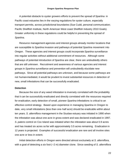A potential obstacle to oyster growers efforts to prevent the spread of *Spartina* in Pacific coast estuaries lies in the varying regulations for oyster culture, especially transport permits, across jurisdictional boundaries (Sue Cudd, personal communication; Pacific Shellfish Institute, North American West coast Shellfish Industry 2010 Goals). Greater uniformity in these regulations could be helpful in preventing the spread of *Spartina*.

Resource management agencies and interest groups already monitor locations that are susceptible to *Spartina* invasion and pathways of potential *Spartina* movement into Oregon. These agencies and interest groups could incorporate *Spartina* surveillance into regular activities without additional commitment of resources. Although some pathways of potential introduction of *Spartina* are clear, there are undoubtedly others that are still unknown. Recruitment and awareness of various agencies and interest groups in *Spartina* surveillance and prevention will undoubtedly elucidate new pathways. Since all potential pathways are unknown, and because some pathways are not human-mediated, it would be prudent to invest substantial resources in detection of new, small infestations that can be successfully eradicated.

## **Detection**

Because the size of any weed infestation is inversely correlated with the probability that it can be successfully eradicated and directly correlated with the resources required for eradication, early detection of small, pioneer *Spartina* infestations is critical to an effective control strategy. Based upon experience in managing *Spartina* in Oregon to date, very small infestations (less than one-half acre) should be eradicable within about ten years. *S. alterniflora* management in the Siuslaw estuary was initiated in 1990 when the infestation was about one acre in gross extent and was declared eradicated in 1997. *S. patens* control on Cox Island was initiated when the infestation was about 0.9 acres and has treated six acres so far with approximately 3.5 acres remaining. Eradication in 12 years is projected. Examples of successful eradication are rare and all involve sites one acre or less in extent.

Initial detection efforts in Oregon were directed almost exclusively at *S. alterniflora*, with a goal of detecting a six foot (~2 m) diameter clone. Since seeding of *S. alterniflora*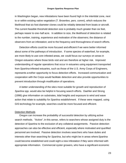in Washington began, new infestations have been found high in the intertidal zone, next to or within existing native vegetation (T. Brownlee, pers. comm), which reduces the likelihood that six foot diameter clones could be reliably detected from boats or aircraft. The current feasible threshold detection size is probably much greater than six feet, perhaps nearer to one-half acre. In addition to size, the likelihood of detection is related to the number, training, experience and motivation of the observers; the distance of observers from an infestation; and to the frequency and thoroughness of search efforts.

Detection efforts could be more focused and efficient if we were better informed about some of the pathways of introduction. If some species of waterfowl, for example, are more likely to use core infested areas, we could focus our surveys on areas in Oregon estuaries where those birds visit and are therefore at higher risk. Improved understanding of regular operations that occur in estuaries using equipment transported from *Spartina*-infested estuaries, such as those of the U.S. Army Corps of Engineers, represents another opportunity to focus detection efforts. Increased communication and cooperation with the Corps would facilitate detection and also provide opportunities to prevent introduction through modification of operations.

A better understanding of the sites most suitable for growth and reproduction of *Spartina* spp. would also be helpful in focusing search efforts. Daehler and Strong (1996) give information on substrates, tidal heights and exposure to wind and wave action that relate to suitability for *Spartina* establishment. If these were mapped, using GIS technology for example, searches could be more focused and efficient.

#### Detection Methods

Oregon can increase the probability of successful detection by utilizing active search methods. "Active", in this sense, refers to searchers whose assigned duty is the detection of *Spartina* to the exclusion of any collateral assignments*.* Passive detection approaches can also be effective and efficient, especially where motivated and qualified personnel are involved. Passive detection involves searchers who have duties and interests other than searching for *Spartina*, but who might be in areas where *Spartina* could become established and could sight a new infestation if they were informed with appropriate information. Commercial oyster growers, who have a significant economic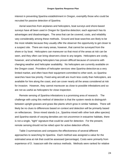interest in preventing *Spartina* establishment in Oregon, exemplify those who could be recruited for passive detection of *Spartina*.

Aerial searches from airplanes and helicopters, boat surveys and shore-based surveys have all been used in Oregon for *Spartina* detection; each approach has its advantages and disadvantages. The area that can be covered, costs, and reliability vary considerably among these methods. Ground and boat searches are likely to be the most reliable because they usually offer the observer the opportunity to get closer to a suspect site. There are many areas, however, that cannot be surveyed from the shore or by boat. Helicopters can maneuver so that most of the areas at risk can be seen, and they often can bring observers close to any targets. Helicopters are costly, however, and scheduling helicopters has proven difficult because of concerns with changing weather and helicopter availability. No helicopters are currently available on the Oregon coast. Providers of helicopter services view *Spartina* detection as a very limited market, and often have their equipment committed to other work, so *Spartina* searches have low priority. Fixed-wing aircraft are much less costly than helicopters, are available for hire along the coast, and can cover nearly all the areas considered at risk for invasion. However, they cannot maneuver as close to possible infestations and so are not as useful as helicopters for close inspection.

Remote sensing of *Spartina* infestations is a promising area of research. The challenge with using this method of detection is that the system needs to distinguish between upright grasses and grass like plants which grow in similar habitats. There will likely be no clues to differences based on context and detection will be primarily based on reflectances. Since mixed stands (i.e., *Spartina* mixed with other look alike species) and *Spartina* stands of varying densities are not uncommon in estuarine habitats, there is not a single, "tight" signature that could be used for detection. For the present, remote sensing should not be relied upon for active detection efforts.

Table 3 summarizes and compares the effectiveness of several different approaches to searching for *Spartina*. Each method was assigned a value for the estimated area at risk that could be assessed (percentage). Costs were primarily from experience of D. Isaacson with the various methods. Methods were ranked for relative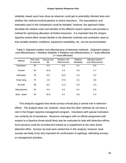#### **Oregon Spartina Response Plan**

reliability, based upon how close an observer could get to potentially infested sites and whether the method involved passive or active searchers. The assumptions and estimates used in this comparison could be debated, however, the approach helps elucidate the relative costs and benefits of the different search options and provides a method for optimizing allocation of limited resources. It is important that the Oregon *Spartina* control effort remain flexible in the detection methods and schedules used so that variable weather conditions, equipment availability, etc. can be accommodated.

Table 3. Adjusted relative cost effectiveness of detection methods . (Adjusted relative cost effectiveness = Relative reliability X Relative cost effectiveness;  $0 =$  least effective, 1= most effective)

| Method        | Risk area<br>% covered | Annual cost<br>\$K | Relative cost<br>effectiveness | Relative<br>Reliability | Adjusted relative<br>cost effectiveness |
|---------------|------------------------|--------------------|--------------------------------|-------------------------|-----------------------------------------|
| Volunteers    | 25                     | 5.0                | 5.0                            | 0.1                     | 0.5                                     |
| Ground        | 50                     | 15.0               | 3.3                            | 0.5                     | 1.7                                     |
| Helicopter    | 75                     | 6.0                | 12.5                           | 0.2                     | 2.5                                     |
| Fixed wing    | 75                     | 2.0                | 37.5                           | 0.1                     | 3.8                                     |
| Air-both      | 90                     | 8.0                | 11.3                           | 0.2                     | 2.3                                     |
| Boat-passive  | 25                     | 5.0                | 5.0                            | 0.1                     | 0.5                                     |
| Boat - active | 50                     | 24.0               | 2.1                            | 0.5                     | 1.0                                     |

This analysis suggests that aerial surveys should play a central role in detection efforts. The analysis does not, however, mean that the other methods do not have a role in the Oregon *Spartina* management program. Volunteers with special motivation can certainly be of assistance. Resource managers with no official assignment with respect to a *Spartina* threat would likely also be motivated to help with detection efforts. Such persons could be recruited and trained as a supplement to the main active detection effort. Surveys by boat were ranked low in this analysis; however, boat surveys are likely to be very important for confirmation of sightings, delimiting surveys, or management activities.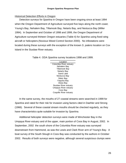## Historical Detection Efforts in Oregon

Detection surveys for *Spartina* in Oregon have been ongoing since at least 1994 when the Oregon Department of Agriculture surveyed five bays along the north coast; Young's Bay, Nehalem Bay, Tillamook Bay, Netarts Bay, and Nestucca Bay (Miller 1994). In September and October of 1998 and 1999, the Oregon Department of Agriculture surveyed thirteen Oregon estuaries (Table 4) for *Spartina* using fixed-wing aircraft or helicopters (Noxious Weed Control Section 2000). No infestations were located during these surveys with the exception of the known *S. patens* location on Cox Island in the Siuslaw River estuary.

Table 4. ODA *Spartina* survey locations 1998 and 1999.

Location Columbia River estuary Nehalem Bay Tillamook Bay Netarts Bay Sand Lake Nestucca Bay Siletz Bay Yaquina Bay Alsea Bay Siuslaw River estuary Umpqua River estuary Coos Bay Coquille River estuary

In the same survey, the mouths of 27 coastal streams were searched in 1999 for *Spartina* and rated for their risk for invasion using factors cited in Daehler and Strong (1966). Several of these coastal stream mouths should be checked regularly, as they have characteristics quite suitable for invasion by *Spartina*.

Additional helicopter detection surveys were made of Winchester Bay in the Umpqua River estuary and of the upper, main portion of Coos Bay in August, 2002. In September, 2002 the south shore of the Columbia River estuary was surveyed downstream from Hammond, as was the Lewis and Clark River arm of Young's Bay. A boat survey of the South Slough in Coos Bay was conducted by the authors in October 2002. Results of both surveys were negative, although several suspicious clumps were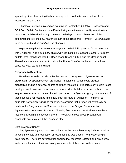spotted by binoculars during the boat survey, with coordinates recorded for closer inspection at later date.

Tillamook Bay was surveyed on two days in September, 2002 by D. Isaacson and ODA Food Safety Sanitarian, John Paeth during a routine water quality sampling trip. Dense fog prohibited a thorough survey on both days . A one mile section of the southwest shore of the bay, near the mouth of the Trask and Tillamook Rivers was able to be surveyed and no *Spartina* was observed.

Experience gained in previous surveys can be helpful in planning future detection work. Appendix A is a summary of a survey conducted in 1998 and 1999 of 27 stream outlets (other than those listed in Daehler and Strong 1996) along the Oregon coast. These locations were rated as to their suitability for *Spartina* habitat and remarks on substrate type, etc. are included.

#### **Response to Detection**

Rapid response is critical to effective control of the spread of *Spartina* and for eradication. Of special concern are pioneer infestations , which could produce propagules and be a potential source of further infestation. It is particularly urgent to act quickly if an infestation is flowering or setting seed so that dispersal can be limited. A sequence of events can be anticipated upon report of a *Spartina* sightng. A summary of these events is represented in the flow chart in Figure 6. Although it is difficult to anticipate how a sighting will be reported, we assume that a report will eventually be made to the Oregon Invasive Species Hotline or to the Oregon Department of Agriculture Noxious Weed Program. Directing first reports to the Hotline should be a focus of outreach and education efforts. The ODA Noxious Weed Program will coordinate and implement the response plan.

#### Confirmation of Report

 Any *Spartina* sighting must be confirmed at the genus level as quickly as possible to avoid the costs and redirection of resources that would result from responding to false reports*.* There are several grass species that resemble *Spartina* and which grow in the same habitat. Identification of grasses can be difficult due to their unique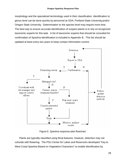morphology and the specialized terminology used in their classification. Identification to genus level can be done quickly by personnel at ODA, Portland State University,and/or Oregon State University. Determination to the species level may require more time. The best way to ensure accurate identification of suspect plants is to rely on recognized taxonomic experts for this task. A list of taxonomic experts that should be consulted for confirmation of *Spartina* identification is included in Appendix B. This list should be updated at least every two years to keep contact information current.



Figure 6. *Spartina* response plan flowchart.

Plants are typically classified using floral features, however, detection may not coincide with flowering. The PSU Center for Lakes and Reservoirs developed "Key to West Coas*t Spartina* Based on Vegetative Characters" to enable identification by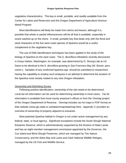vegetative characteristics. This key is small, portable, and readily available from the Center for Lakes and Reservoirs and the Oregon Department of Agriculture Noxious Weed Program.

Most identifications will likely be made from stems and leaves, although it is possible that whole or partial inflorescences will be all that is available, especially in wrack washed up on the shore. A small, portable key that deals only with the floral and seed characters of the five west coast species of *Spartina* would be a useful complement to the vegetative key.

The use of DNA identification techniques has been applied in the study of the biology of *Spartina* on the west coast. The *S. densiflora* infestation recently discovered in Grays Harbor, Washington, for example, was determined by D. Strong's lab at UC Davis to be identical to the *S. densiflora* growing in San Francisco Bay (W. Brown, pers. comm.). Samples of any confirmed *Spartina* spp. should be submitted to researchers having the capability to employ such analyses in an attempt to determine the location of the *Spartina* most closely related to any new Oregon infestation.

#### Ownership and Delimiting Survey

Following positive identification, ownership of the site needs to be determined. Local tax lot information can be used for determining ownership in most cases. Tax lot information is available from local county assessor's offices or from the Oremap project of the Oregon Department of Revenue. Oremap includes tax lot maps in PDF format on their website (www.gis.state.or.us/data/ormap/statemap.htm). Appendix C provides an overview of ownership of property adjacent to estuaries.

Most potential *Spartina* habitat in Oregon is not under active management by any federal, state, or local agency. Significant exceptions include the South Slough National Estuarine Reserve, which is administratively supported by the Division of State Lands and has an eight-member management commission appointed by the Governor; the Cox Island and Blind Slough Preserves, which are managed by The Nature Conservancy; and the Siletz Bay and Lewis and Clark National Wildlife Refuges, managed by the US Fish and Wildlife Service.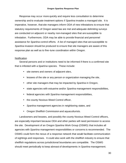Response may occur more quickly and require less consultation to determine ownership and to evaluate treatment options if *Spartina* invades a managed site. It is imperative, however, that site managers inform ODA of new infestations to ensure that statutory requirements of Oregon weed law are met and adequate delimiting surveys are conducted on adjacent or nearby non-managed sites that are susceptible to infestation. Furthermore, ODA may be able to provide financial and personnel assistance for *Spartina* control efforts. A list of managed sites that are susceptible to *Spartina* invasion should be produced to ensure that site managers are aware of this response plan as well as to fine-tune coordination within Oregon.

## **Notification**

Several persons and or institutions need to be informed if there is a confirmed site that is infested with a *Spartina* species. These include:

- site owners and owners of adjacent sites,
- lessees of the site or any person or organization managing the site,
- other site managers that may be impacted by *Spartina* in Oregon,
- state agencies with estuarine and/or *Spartina* management responsibilities,
- federal agencies with *Spartina* management responsibilities,
- the county Noxious Weed Control officer,
- *Spartina* management agencies in neighboring states, and
- Oregon Shellfish Commission and aquaculturists.

Landowners and lessees, and possibly the county Noxious Weed Control officers, are especially important because ODA and other parties will need permission to access the site. Development of an Oregon *Spartina* Work Group (OSWG) that includes all agencies with *Spartina* management responsibilities or concerns is recommended. The OSWG could form the nexus of a response network that would facilitate communication of sightings and responses. It could also work with the shellfish industry to ensure that shellfish regulations across jurisdictional boundaries are compatible. The OSWG should meet periodically to keep abreast of developments in *Spartina* management.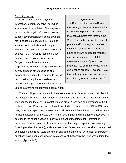#### Delimiting survey.

Upon confirmation of a *Spartina* infestation, a comprehensive, delimiting survey should be initiated. The purpose of this survey is to gain information needed to support several decisions, some of which may need to be made quickly – such as whether control efforts should begin immediately or whether they can be safely delayed. ODA, which is responsible for enforcement of noxious weed laws in Oregon, should have the primary responsibility for coordinating the delimiting survey although other agencies and organizations should be prepared to provide personnel and equipment assistance if needed. Although seldom used, ODA may use its quarantine authority (see box at right).

The Director of the Oregon Department of Agriculture has the authority to quarantine products or areas if they contain pests that threaten the State. This authority could be used to prevent traffic through a *Spartina*infested area that could spread the plant, to ensure access for management activities, and to prohibit movement or sale of products or materials into or from the site. While quarantines are rarely invoked, it is a tool that may be appropriate in some situations. (ORS 561.510-561.600)

**Quarantine**

The delimiting survey should include estimates of net (area occupied if all plants in the infested area were a monoculture in one patch) and gross (area encompassed by lines connecting the outlying plants) infested area. Areas can be determined with GIS software using GPS coordinates of plants located in the field. ODA, ODFW, DSL, and DEQ have GIS capabilities. Base maps of all potential infested areas should be on file for rapid calculation of infested area and for use in planning management activities. In addition to the exact location and physical extent of the infestation, information necessary for effective control includes data on plant height, reproductive state (e.g., flowering or shedding seed), and substrate type. Other data, such as site history, would be useful in optimizing future prevention and detection efforts*.* A number of important questions have been consolidated into a checklist that should be used when doing the survey (Appendix D).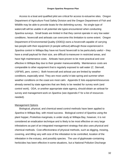Access to a boat and qualified pilot are critical for access to estuarine sites*.* Oregon Department of Agriculture Food Safety Division and the Oregon Department of Fish and Wildlife may be able to provide boats for the delimiting survey. No single type of watercraft will be usable in all potential site types encountered when conducting *Spartina* surveys. Small boats are limited in that they cannot operate in very low water conditions; hovercraft and airboats can overcome this limitation to some extent. Oregon Department of Environmental Quality (ODEQ) owns a hovercraft capable of carrying two people with their equipment (4 people without) although those experienced in *Spartina* control in Willapa Bay have not found hovercraft to be particularly useful – they have a small payload for their size, are difficult to maneuver in restricted areas, and have high maintenance costs. Airboats have proven to be more practical and cost effective in Willapa Bay due to their greater maneuverability. Maintenance costs are comparable to other equipment that is regularly exposed to salt water (C. Stenvall, USFWS, pers. comm.). Both hovercraft and airboat use are limited by weather conditions, especially wind. They are most useful in late spring and summer when weather conditions on the coast are most calm. Appendix E lists equipment/resources already owned by state agencies that are likely to be needed for survey work (and control work). ODA, or another appropriate state agency, should obtain an airboat for survey and management work on *Spartina* (see Appendix F for a list of resources needed).

## Management Options

Biological, physical, and chemical weed control methods have been applied to *Spartina* in Willapa Bay, with mixed success. Biological control of *Spartina* using the plant hopper, *Prokelisia marginata,* is under study at Willapa Bay, however, it is not considered an eradication technique and is likely to be most effective on very large infestations as part of an integrated management strategy that also uses physical and chemical methods. Cost-effectiveness of physical methods, such as digging, mowing, covering, and tilling vary with size of the infestation to be controlled, location of the infestation in the estuary, and possibly species. The use of glyphosate-containing herbicides has been effective in some situations, but a National Pollution Discharge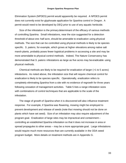Elimination System (NPDES) permit would apparently be required. A NPDES permit does not currently exist for glyphosate application for *Spartina* control in Oregon. A permit would need to be developed by DEQ prior to use of any aquatic herbicide.

Size of the infestation is the primary determinant of the efficacy of various methods of controlling *Spartina*. Small infestations, near the size suggested for a detection threshold of about one-half acre, should be amenable to eradication using physical methods. The size that can be controlled using physical methods is likely to be species specific. *S. patens*, for example, which grows at higher elevations among native salt marsh plants, probably poses fewer logistical problems in accessing a site and may be more amendable to physical control methods. Indeed, The Nature Conservancy has demonstrated that *S. patens* infestations as large as five acres may be eradicable using physical methods.

Chemical methods are likely to be required for eradication of larger (>1 to 5 acres) infestations. As noted above, the infestation size that will require chemical control for eradication is likely to be species specific. Operationally, eradication refers to completely eliminating *Spartina* from a site with no evidence of regrowth for three years following cessation of management activities. Table 5 lists a range infestation sizes with combinations of control techniques that are applicable to the scale of the infestation.

The stage of growth of *Spartina* when it is discovered will also influence treatment response. For example, if *Spartina* was flowering, mowing might be employed to prevent development and release of seeds (note that mowing should not be done on plants which have set seed). Size of an infestation may also require adjustment of the program goal. Eradication of large sites may be impractical and containment – controlling an established *Spartina* infestation so that it does not increase in area or spread propagules to other areas – may be a more appropriate goal. Large infestations would require much more resources than are currently available in the ODA weed program budget. More details on treatment methods are in Appendix G.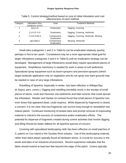| Category | <b>Infestation Size</b> | Goal                        | <b>Treatment Methods</b>             |
|----------|-------------------------|-----------------------------|--------------------------------------|
|          | (net/gross acres)       |                             |                                      |
|          | $\leq$ 0.1/ $<$ 5       | Eradication                 | Digging, Covering                    |
| 2        | $0.1 - 0.5 / - 5.0$     | Eradication                 | Digging, Covering, Herbicide         |
| 3        | $1.0 - 10.0 / 40.0$     | Containment,<br>Eradication | Digging, Covering, Herbicide, Mowing |
| 4        | $\geq$ 10.0/80.0        | Containment,<br>Eradication | Mowing, Herbicide                    |

Table 5. Control strategy/method based on size of initial infestation and cost effectiveness of each method.

Small sites (categories 1 and 2 in Table 5) can be eradicated relatively quickly, perhaps in five to ten years. Containment may be a more appropriate initial goal for larger infestations (categories 3 and 4 in Table 5) until an eradication strategy can be developed. Management of large infestations would likely require specialized pieces of equipment. Amphibious machinery is needed for work in areas of soft sediments. Specialized spray equipment such as boom-sprayers and precision-sprayers (which target herbicide application only on vegetation and do not spray over bare ground) may be needed in case of very large infestations.

Rototilling of *Spartina*, especially in winter, has been effective in Willapa Bay (K.Sayce, pers. comm.). Digging and rototilling inevitably result in the escape of small pieces of stems, roots and rhizomes into sediments and tidal currents that could spread the infestation. Reeder and Hacker (in review) found that small pieces of *Spartina* root, even those that appeared dead, could resprout. While dispersal by fragments is clearly a concern, it is not clear that root fragments can survive long enough to reestablish into mature plants. Continued monitoring of treated sites and prompt removal of resprouting material is critical to the success of containment and/or eradication efforts. The potential for dispersal of fragments created during control activities that involve digging and tilling should be better defined for all *Spartina* species of concern.

Covering with specialized landscaping cloth has been effective on small patches of *S. patens* on Cox Island in the Siuslaw River estuary. Use of the landscaping material, rather than black plastic typically found at hardware stores, is crucial for success in the winds and tides of an estuarine environment. Recent experience indicates that the fabric should extend at least two feet beyond the edge of the patch. Covers typically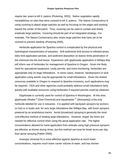require two years to kill *S. patens* (Pickering, 2002*)*. Native vegetation rapidly reestablishes on sites that were covered to kill *S. patens*. The Nature Conservancy is using covering to attack larger patches as well by focusing on the edges and working toward the center of the patch. Thus, covering can be used to contain and slowly eradicate large patches. Covering should be part of an integrated strategy. For example, The Nature Conservancy also mows large patches that have yet to be covered to prevent seeding (Pickering 2000).

Herbicide application for *Spartina* control is complicated by the physical and hydrological characteristics of estuaries. Soft sediments limit access to infested areas, tides limit application periods, and sediment deposition on leaves limits penetration of the chemical into the leaf tissue. Experience with glyphosate application in Willapa Bay will inform use of herbicides for management of *Spartina* in Oregon. Given the likely need for specialized equipment, costly permits, and extra monitoring, herbicides are appropriate only on large infestations. In some cases, however, handsprayers or wick application using wands may be appropriate for small infestations. Given the limited resources available in Oregon to respond to *Spartina* invasions, such applications may be required. ODA and other agencies could probably address small infestations fairly quickly with available resources using herbicides if required permits could be obtained.

Glyphosate is currently used for control of *Spartina* in Washington. At this time, glyphosate (Rodeo ® (Dow Chemical) and Aquamaster ® (Monsanto)) is the only herbicide labeled for use in estuaries. It is applied with backpack sprayers by workers on foot or in boats and, for very large infestations like Willapa Bay, with boom sprayers powered by an amphibious tractor. Aerial (broadcast) spraying is generally the most cost-effective method of treating large infestations. However, longer dry times are needed for effective control when using the aerial application rate. The higher concentrations allowed for hand application from airboats using high pressure sprayers are effective at shorter drying times, but this method can treat far fewer acres per day than aerial spraying (Patten 2000).

Imazapyr (Arsenal ®) is more effective against *Spartina* at much lower concentrations, requires much lower carrier volume of water, and has shorter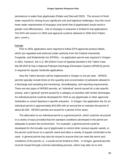persistence in water than glyphosate (Patten and Stenvall 2002). The amount of fresh water required for mixing incurs significant cost and logistical challenges, thus the much lower water requirements of imazapyr (one tenth that of glyphosate) would result in greater cost effectiveness. Use of imazapyr in estuaries is limited to trial applications. The EPA will review it in 2003 and approval could be obtained in 2004 (Kim Patten, pers. comm.).

#### **Permits**

Prior to 2001 applicators were required to follow EPA-approved product labels, which are regulated and enforced under authority from the Federal Insecticide, Fungicide, and Rodenticide Act (FIFRA) – no application permit was required in Oregon. In 2001, however, the U.S. 9th District Court of Appeals decided in the Talent Case (No.99-35373) that a National Pollutant Discharge Elimination System (NPDES) permit is required for aquatic herbicide applications.

How the Talent decision will be implemented in Oregon is not yet clear. NPDES permits typically include limits on the quantity and concentration of pollutants allowed in a discharge and sampling and monitoring, recordkeeping, and reporting requirements. There are two types of NPDES permits: an "individual" permit issued for a site-specific activity, and a "general" permit issued for a category of activities with similar discharges. An individual permit could be developed for ODA to use glyphosate or other approved herbicides to control *Spartina* in specific estuaries. In Oregon, the application fee for an individual permit is approximately \$10,000 with an annual fee to maintain the permit of about \$2,500. NPDES permits are issued for a period of five years.

The alternative to an individual permit is a general permit, which could be structured in a variety of ways provided that the standard conditions developed in the permit are adequate to protect the environment. For example, a general permit could be developed for the broader use of glyphosate to control other noxious aquatic weeds, or the permit could focus on a specific weed and allow a variety of aquatic herbicides to be used. A general permit may also be issued to anyone that can meet the terms and conditions of the permit, i.e., it would not be limited to ODA. In Oregon, general permits must be issued through a formal rulemaking process, which may take six to nine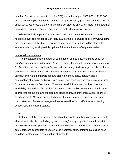months. Permit development costs for DEQ are in the range of \$50,000 to \$100,000, but the permit application fee is set in rule at approximately \$700 with an annual fee of about \$350. As a result, a general permit is considered only when there is the potential for multiple permittees and a reduction in overall administrative costs.

Given the likely impact of *Spartina* on public lands and the limited number of herbicides available for control, an individual permit for *Spartina* control by ODA seems most appropriate at this time. Development of such a permit should be started to ensure availability of all possible options if *Spartina* invades Oregon estuaries.

## Integrated Management

The most appropriate method, or combination of methods, should be used for *Spartina* management in Oregon. As noted above, biocontrol is under investigation for *S. alterniflora* control in Willapa Bay as part of an integrated strategy that also includes chemical and physical methods. A small infestation of *S. alterniflora* was eradicated using a combination of herbicides and digging in the Siuslaw estuary; and a combination of mowing and covering is being used effectively on some relatively large *S. patens* patches on Cox Island. Thus, successful *Spartina* control requires the availability of a variety of control techniques that are applied in a manner that is most appropriate for the site and the size and stage of growth of the infestation. There is clearly no single *Spartina* control technique that can be applied successfully under all circumstances. Rather, an integrated response will be most effective in protecting Oregon estuaries from *Spartina*.

## **Costs**

Estimates of the cost per acre of each of four control methods are shown in Table 6. Manual methods of control (digging and covering) are appropriate for small infestations due to their high cost per acre. Mechanical and chemical methods, with their lower per acre costs, are appropriate to use on large treatment sites. Intermediate sized sites could be treated using a combination of methods.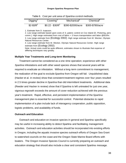#### **Oregon Spartina Response Plan**

| Digging      | Covering <sup>2</sup> | Mechanical <sup>3</sup> | Chemical <sup>4</sup> |
|--------------|-----------------------|-------------------------|-----------------------|
| $$2-$3/ft^2$ | $$0.22 - $30/ft^2$    | \$390-\$2000/acre       | \$300-\$780/acre      |

Table 6. Cost per unit area of *Spartina* control methods.

1. Estimate from D. Isaacson.

2. Low range estimate based upon costs of *S. patens* control on Cox Island (D. Pickering, pers comm.). High range estimated from cost of fabric + 3 hours transportation and labor @\$10/hr. 3. Low range estimate from (Ecology 2002). High range estimate from M. Wecker, Olympic Natural Resources Center.

4. Low range estimate from M. Wecker, Olympic Natural Resources Center. High range estimate from (Ecology 2002).

Note: Actual costs could be quite different, estimates shown to illustrate that expense of differing techniques vary greatly.

#### **Multiple Year Treatments and Long-term Monitoring**

Treatment cannot be considered as a one-time operation; experience with other *Spartina* infestations and with other weed species shows that several years will be required to eradicate an infestation. Without a long-term commitment to management, the realization of the goal to exclude *Spartina* from Oregon will fail. Unpublished data (Hacker et al. in review) show that consistent treatment regimes over four years resulted in 2.5 times greater decline in *Spartina* than did intermittent treatments. Additional data (Reeder and Hacker in review) show that if *Spartina* is left untreated for just one year, vigorous regrowth exceeds the amount of cover reduction achieved with the previous year's treatment. Rapid, effective, and persistent implementation of the *Spartina* management plan is essential for successful control. Potential obstacles to rapid implementation of a plan include lack of interagency cooperation, public opposition, logistic problems, and availability of funds*.*

## **Outreach and Education**

Outreach and education on invasive species in general and Spartina specifically may be useful in increasing ability to detect Spartina and facilitating management activities. Outreach and education activities should be incorporated into existing efforts in Oregon, including the aquatic invasive species outreach efforts of Oregon Sea Grant to watershed councils on the coast and the Oregon State Marine Board efforts with boaters. The Oregon Invasive Species Council is currently preparing an outreach and education strategy that should also include a clear and consistent Spartina message.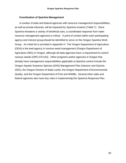## **Coordination of** *Spartina* **Management**

A number of state and federal agencies with resource management responsibilities, as well as private interests, will be impacted by *Spartina* invasion (Table 7). Since *Spartina* threatens a variety of beneficial uses, a coordinated response from water resource management agencies is critical. A point of contact within each participating agency and interest group should be identified to serve on the Oregon *Spartina* Work Group. An initial list is provided in Appendix H. The Oregon Department of Agriculture (ODA) is the lead agency in noxious weed management (Oregon Department of Agriculture 2001) in Oregon, although all state agencies have a requirement to control noxious weeds (ORS 570.510). Other programs and/or agencies in Oregon that already have management responsibilities applicable to *Spartina* control include the Oregon Aquatic Nuisance Species (ANS) Management Plan (Hanson and Sytsma 2001), the Oregon Division of State Lands, the Oregon Department of Environmental Quality, and the Oregon Department of Fish and Wildlife. Several other state and federal agencies also have key roles in implementing this *Spartina* Response Plan.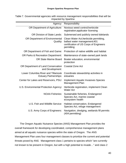| Agency:                                                            | Responsibility                                                                                                                 |
|--------------------------------------------------------------------|--------------------------------------------------------------------------------------------------------------------------------|
| OR Department of Agriculture:                                      | Noxious weed control; herbicide<br>registration; applicator licensing                                                          |
| <b>OR Division of State Lands:</b>                                 | Submersed and publicly owned tidelands                                                                                         |
| OR Department of Environmental<br>Quality:                         | Clean Water Act; herbicide permitting,<br>ballast water management;401<br>certification of US Corps of Engineers<br>permitting |
| OR Department of Fish and Game:                                    | Protection of native wildlife and habitat                                                                                      |
| <b>OR Parks &amp; Recreation Department:</b>                       | Maintenance of state-owned park lands                                                                                          |
| <b>OR State Marine Board</b>                                       | Boater education, environmental<br>protection                                                                                  |
| OR Department of Land Conservation<br>and Development:             | <b>Coastal Zone Act</b>                                                                                                        |
| Lower Columbia River and Tillamook<br><b>Estuary Partnerships:</b> | Coordinate stewardship activities in<br>estuaries                                                                              |
| Center for Lakes and Reservoirs, PSU:                              | <b>Implement Aquatic Invasives Species</b><br><b>Management Plan</b>                                                           |
| U.S. Environmental Protection Agency:                              | Herbicide registration, implement Clean<br><b>Water Act</b>                                                                    |
| <b>NOAA Fisheries:</b>                                             | Sustainable fisheries, Endangered<br>Species Act, marine coastal<br>ecosystem health                                           |
| U.S. Fish and Wildlife Service:                                    | Habitat conservation, Endangered<br>Species Act, refuge management                                                             |
| U.S. Army Corps of Engineers:                                      | Navigation, dredging, wetlands fill permits<br>(404 permitting)                                                                |

Table 7. Governmental agencies with resource management responsibilities that will be impacted by *Spartina*

The Oregon Aquatic Nuisance Species (ANS) Management Plan provides the overall framework for developing coordinated, comprehensive management plans aimed at all aquatic nuisance species within the state of Oregon. The ANS Management Plan uses four management classes to prioritize the current and potential threats posed by AN*S.* Management class 1 pertains to species which "are currently not known to be present in Oregon, but with a high potential to invade…" and class 2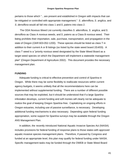pertains to those which "…are present and established in Oregon with impacts that can be mitigated or controlled with appropriate management." *S. alterniflora*, *S. anglica*, and *S. densiflora* would all fall into class 1 and *S. patens* into class 2.

The ODA Noxious Weed List currently classifies *S. alterniflora*, *S. anglica*, and *S. densiflora* as Class A noxious weeds, and *S. patens* as a Class B noxious weed. Their listing prohibits their importation, sale, purchase, transportation, and propagation in the state of Oregon (OAR 603-052-1200). These species should be listed as class T in addition to their current A or B listings (so listed by the state weed board 2/14/03)*.* A class T weed is a "priority noxious weed designated by the State Weed Board as a target weed species on which the Department will implement a statewide management plan" (Oregon Department of Agriculture 2002). This document provides the necessary management plan.

#### **FUNDING**

Adequate funding is critical to effective prevention and control of *Spartina* in Oregon. While there may be some flexibility to reallocate resources within current agency budgets, it seems unlikely that all the recommendations here can be implemented without supplemental funding. There are a number of different possible sources that may be exploited, but it should be understood that if a large *Spartina* infestation develops, current funding and soft monies will clearly not be adequate to realize the goal of keeping Oregon *Spartina*-free. Capitalizing on ongoing efforts in Oregon estuaries, including use of passive surveillance, is necessary. Developing additional funding mechanisms is also necessary. Depending upon federal funding appropriation, some support for *Spartina* surveys may be available through the Oregon ANS Management Plan.

In addition, the recently introduced National Aquatic Invasive Species Act (NAISA) includes provisions for federal funding of response plans to those states with approved aquatic invasive species management plans. Therefore, if passed by Congress and funded at an appropriate level, this plan may qualify for federal funding under NAISA. Specific management tasks may be funded through the OWEB or State Weed Board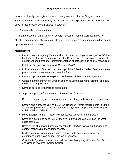programs. Ideally, the legislature would designate funds for the Oregon Invasive Species Account, administered by the Oregon Invasive Species Council, that could be used for rapid response to *Spartina* infestation.

Summary Recommendations

During development of this Plan several necessary actions were identified for effective management of *Spartina* in Oregon. These recommendations should be acted upon as soon as possible.

## **Management**

- Develop an Interagency Memorandum of Understanding that recognizes ODA as lead agency for *Spartina* management in Oregon and that facilitates sharing of equipment and personnel for implementation of detection and control measures
- Establish Oregon *Spartina* Work Group (OSWG)
- Hold a minimum of two annual meetings of the OSWG to review *Spartina* survey protocols and to review and update this Plan
- Develop opportunities for regional coordination of *Spartina* management
- Conduct annual surveys of Oregon estuaries using fixed-wing, ground, and boat methods as appropriate
- Develop permits for herbicide application
- Support ongoing efforts to control *S. patens* on Cox Island
- Develop required agreements with laboratories for genetic analysis of *Spartina*
- Review and clarify the ODFW Live Fish Transport Permit requirements (and their application) to minimize the risk of importing *Spartina* propagules into Oregon with live fish and shellfish.
- Move *Spartina* to the "T" list of noxious weeds (accomplished 2/14/03)
- Develop a floral and seed key for the five *Spartina* species found on the west coast of the U.S.
- Develop list of managed areas susceptible to *Spartina* invasion in Oregon and contact responsible management entity
- Update inventory of equipment currently available and acquire necessary equipment (such as an airboat) for rapid response,
- Coordinate *Spartina* outreach and education with ongoing efforts by Sea Grant and Oregon Invasive Species Council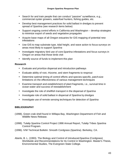- Search for and train people that can conduct "passive" surveillance, e.g., commercial oyster growers, waterfowl hunters, fishing guides, etc.
- Develop best management practices for solid ballast in dredges to prevent spread of *Spartina* (see research items below)
- Support ongoing control efforts in California and Washington develop strategies to minimize export of seeds and vegetative propagules
- Acquire base maps of all Oregon estuaries for GIS mapping of potential new infestations
- Use GIS to map substrate type, tidal height, and wave action to focus surveys on areas most likely to support *Spartina*
- Investigate migratory bird use of core *Spartina* infestations and focus surveys in Oregon on areas that those birds visit
- Identify source of funds to implement this plan

## **Research**

- Evaluate and prioritize dispersal and introduction pathways
- Evaluate ability of root, rhizome, and stem fragments to resprout
- Determine optimal timing of control efforts and species-specific, patch-size limitations on the effectiveness of various management techniques
- Examine transport and establishment of plant fragments, i.e., survival time in ocean water and success of reestablishment
- Investigate the role of shellfish transport in the dispersal of *Spartina*
- Investigate role of solid ballast in dispersal of *Spartina* by dredges
- Investigate use of remote sensing techniques for detection of *Spartina*

## **BIBLIOGRAPHY**

- (1998). Green crab shell found in Willapa Bay, Washington Department of Fish and Wildlife News Release.
- (1998). Tulalip *Spartina* Control Project 1998 Annual Report, Tulalip Tribes *Spartina* Control Program.
- (1996). IVM Technical Bulletin: Smooth Cordgrass (*Spartina*). Berkeley, CA.
- Aberle, B. L. (1993). The Biology and Control of Introduced *Spartina* (Cordgrass) Worldwide and Recommendations for Its Control in Washington. Master's Thesis, Environmental Studies, The Evergreen State College.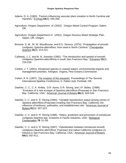- Adams, D. A. (1963). "Factors influencing vascular plant zonation in North Carolina salt marshes." Ecology **44**(3): 445-456.
- Agriculture, Oregon Department of. (2002). Oregon Weed Control Program, Salem, OR.
- Agriculture, Oregon Department of . (2001). Oregon Noxious Weed Strategic Plan. Salem, OR, Oregon .
- Broome, S. W., W. W. Woodhouse, and E.D. Seneca. (1974). "Propagation of smooth cordgrass, *Spartina alterniflora*, from seed in North Carolina." Chesapeake Science **15**(4): 214-221.
- Callaway, J. C. and M. N. Josselyn (1992). "The introduction and spread of smooth cordgrass (*Spartina alterniflora*) in south San Francisco Bay." Estuaries **15**(2): 218-226.
- Carlton, J. T. (2001). Introduced species in coastal waters: environmental impacts and management priorities. Arlington, Virginia, Pew Oceans Commission.
- Cohen, A. N. (1997). The invasion of the estuaries. Proceedings of The Second International Spartina Conference, K. Patten (ed), Portland, OR.
- Daehler, C. C., C. K. Anttila, D.R. Ayres, D.R. Strong, and J.P. Bailey. (1999). "Evolution of a new ecotype of *Spartina alterniflora* (Poaceae) in San Francisco Bay, California, USA." American Journal of Botany **86**(4): 543-546.
- Daehler, C. C. and D. R. Strong (1994). "Variable reproductive output among clones of Spartina alterniflora (Poaceae) invading San Francisco Bay, California: the influence of herbivory, pollination, and establishment site." American Journal of Botany **81**(3): 307-313.
- Daehler, C. C. and D. R. Strong (1996). "Status, prediction and prevention of introduced cordgrass *Spartina* spp. invasions in Pacific estuaries, USA." Biological Conservation **78**: 51-58.
- Daehler, C. C. and D. R. Strong (1997). "Hybridization between introduced smooth cordgrass (*Spartina alterniflora*; Poaceae) and native California cordgrass (*S. foliosa*) in San Francisco Bay, California, USA." American Journal of Botany **84**(5): 607-611.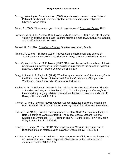- Ecology, Washington Department of. (2002). Aquatic noxious weed control National Pollutant Discharge Elimination System waste discharge general permit. Olympia, Washington.
- Faber, P. (2000). "Grass wars: good intentions gone awry." Coast and Ocean **16**(2).
- Fonseca, M. S., J. C. Zieman, G.W. thayer, and J.S. Fisher. (1983). "The role of current velocity in structuring eelgrass (*Zostera marina* L.) meadows." Estuarine, Coastal and Shelf Science **17**: 367-380.
- Frenkel, R. E. (1990). *Spartina* in Oregon. Spartina Workshop, Seattle.
- Frenkel, R. E. and T. R. Boss (1988). "Introduction, establishment and spread of *Spartina patens* on Cox Island, Siuslaw Estuary, Oregon." Wetlands **8**: 33-49.
- Goss-Custard, J. D. and M. E. Moser (1988). "Rates of change in the numbers of dunlin, *Calidris alpina*, wintering in British estuaries in relation to the spread of *Spartina anglica*." Journal of Applied Ecology **25**(1): 95-109.
- Gray, A. J. and A. F. Raybould (1997). "The history and evolution of *Spartina anglica* in the British Isles." Second International Spartina Conference, Olympia, WA, Washington State University - Cooperative Extension.
- Hacker, S. D., D. Heimer, C. Eric Hellquist, Tabitha G. Reeder, Blain Reeves, Timothy J. Riordan, and Megan N. Dethier. (2001). "A marine plant *(Spartina anglica)* invades widely varying habitats: potential mechanisms of invasion and control." Biological Invasions **3**: 211-217.
- Hanson, E. and M. Sytsma (2001). Oregon Aquatic Nuisance Species Management Plan. Portland, OR, Portland State University Center for Lakes and Reservoirs.
- Hickey, B. M. (1998). Coastal oceanography of western North America from the tip of Baja California to Vancouver Island. The Global Coastal Ocean: Regional Studies and Syntheses. A. R. Robinson and K. H. Brink (eds). New York, John Wiley & Sons, Inc. **11:** 345-393.
- Howes, B. L. and J. M. Teal (1994). "Oxygen loss from *Spartina alterniflora* and its relationship to salt marsh oxygen balance." Oecologia **97**(4): 431-438.
- Huiskes, A. H. L., B. P. Koutstaal, P.M.J. Herman, W.G. Beeftink, M.M. Markusse, and W. de Munck (1995). "Seed dispersal of halophytes in tidal salt marshes." Journal of Ecology**83**: 559-567.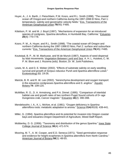- Huyer, A., J. A. Barth, J. Fleischbein, P.M. Kosro, and R.L. Smith (1998). "The coastal ocean off Oregon and northern California during the 1997-1998 El Nino, Part 1: temperature, salinity and geostrophic velocity fields." Eos, Transactions of the American Geophysical Union **79**(45): F485.
- Kittelson, P. M. and M. J. Boyd (1997). "Mechanisms of expansion for an introduced species of cordgrass, *Spartina densiflora*, in Humboldt Bay, California." Estuaries **20**(4): 770-778.
- Kosro, P. M., A. Huyer, and R.L. Smith (1998). "The coastal ocean off Oregon and northern California during the 1997-1998 El Nino, Part 2: surface and subsurface currents." Eos, Transactions of the American Geophysical Union **79**(45): F485.
- Koutstaal, B. P., M. M. Markusse, and W.de Munck (1987). Aspects of seed dispersal by tidal movements. Vegetation Between Land and Sea. A. H. L. Huiskes, C. W. P. M. Blom and J. Rozema (eds). Boston, Dr. W. Junk Publishers.
- Lewis, M. A. and D. E. Weber (2002). "Effects of substrate salinity on early seedling survival and growth of *Scirpus robustus* Pursh and *Spartina alterniflora* Loisel." Ecotoxicology **11**: 19-26.
- Maricle, B. R. and R. W. Lee (2002). "Aerenchyma development and oxygen transport in the estuarine cordgrasses *Spartina alterniflora* and *S. anglica*." Aquatic Botany **74**: 109-120.
- McMillan, R. O., D. A. Armstrong, and P.A. Dinnel. (1995). "Comparison of intertidal habitat use and growth rates of two northern Puget Sound cohorts of 0+ age Dungeness crab, *Cancer magister*." Estuaries **18**(2): 390-398.
- Mendelssohn, I. A., K. L. McKee, et al. (1981). "Oxygen deficiency in *Spartina alterniflora* roots: metabolic adaptation to anoxia." Science **214**(4519): 439-441.
- Miller, G. (1994). *Spartina alterniflora* and its potential for invasion into Oregon coastal bays and estuaries.Oregon Department of Agriculture, Weed Staff Report.
- Mobberley, D. G. (1956). "Taxonomy and distribution of the genus *Spartina*." Iowa State College Journal of Science **30**(4): 471-574.
- Mooring, M. T., A. W. Cooper, and E.D. Seneca (1971). "Seed germination response and evidence for height ecophenes in *Spartina alterniflora* from North Carolina." American Journal of Botany **58**(1): 48-55.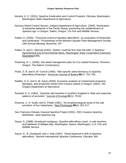- Murphy, K. C. (2001). *Spartina* Eradication and Control Program. Olympia, Washington, Washington State Department of Agriculture.
- Noxious Weed Control Section, Oregon Department of Agriculture. (2000). Restoration of estuarine wetlands in the Pacific flyway: preventing the establishment of *Spartina* spp. in Oregon. Salem, Oregon, US Fish and Wildlife Service**.**
- Patten, K. (2000). "Chemical control of Spartina alterniflora an evaluation of herbicides and surfactants." Proceedings of the Western Aquatic Plant Management Society 19th Annual Meeting, Bozeman, MT.
- Patten, K. and C. Stenvall (2002). "Nothin' could be fina' than the killin' o' *Spartina*." Agrichemical and Environmental News, Washington State Cooperative Extension Newsletter(196).
- Pickering, D. L. (2000). Site weed management plan for Cox Island Preserve, Florence, Oregon, The Nature Conservancy.
- Plyler, D. B. and K. M. Carrick (1993). "Site-specific seed dormancy in *Spartina alterniflora* (Poaceae)." American Journal of Botany **80**(7): 752-756.
- Radtke, H. D. and S. W. Davis (2000). Economic analysis of containment programs, damages, and production losses from noxious weeds in Oregon. Salem, OR, Oregon Department of Agriculture.
- Ranwell, D. S. (1964). "*Spartina* salt marshes in southern England II. Rate and seasonal patterns of accretion." Journal of Ecology**52**(1): 79-94.
- Rozema, J., H. Gude, and G. Pollak (1981). "An ecophysiological study of the salt secretion of four halophytes." New Phytologist **89**(2): 201-217.
- San Francisco Estuary Invasive *Spartina* Project (2001). 2001 Invasive *Spartina* distribution. www.*Spartina*.org.
- Sayce, K. (1988). Introduced cordgrass, *Spartina alterniflora* Loisel., in salt marshes and tidelands of Willapa Bay, Washington. Ilwaco, Washington, U.S. Fish and Wildlife Service.
- Sayce, K., B. Dumbauld, and J. Hidy.(1997). "Seed dispersal in drift of *Spartina alterniflora*." Second International *Spartina* Conference, Olympia, WA.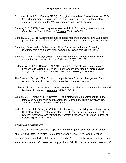- Schoener, A. and D. L. Fluharty (1984). "Biological anomalies off Washington in 1982- 83 and other major Nino periods." A meeting on Nino effects in the eastern subarctic Pacific, Seattle, WA, Washington Sea Grant Program.
- Seneca, E. D. (1972). "Seedling response to salinity in four dune grasses from the Outer Banks of North Carolina." Ecology **53**(3): 465-471.
- Seneca, E. D. (1974). "Germination and seedling response of Atlantic and Gulf coasts populations of *Spartina alterniflora*." American Journal of Botany **61**(9): 947-956.
- Shumway, S. W. and M. D. Bertness (1992). "Salt stress limitation of seedling recruitment in a salt marsh plant community." Oecologia **92**: 490-197.
- Spicher, D. and M. Josselyn (1985). "*Spartina* (Gramineae) in northern California: distribution and taxonomic notes." Madrono **32**(3): 158-167.
- Stiller, J. W. and A. L. Denton (1995). "One hundred years of *Spartina alterniflora* (Poaceae) in Willapa Bay, Washington: random amplified polymorphic DNA analysis of an invasive population." Molecular Ecology **4**: 355-363.
- The Research Group (1999). Economic Impacts from Potential Management Plan Actions. Prepared for Lower Columbia River Estuary Program.
- Vivian-Smith, G. and E. W. Stiles (1994). "Dispersal of salt marsh seeds on the feet and feathers of waterfowl." Wetlands **14**(4): 316-319.
- Wecker, M., D. Strong and F. Grevstad. (2000). "Integrating biological control in the integrated pest management program for *Spartina alterniflora* in Willapa Bay." Journal of Shellfish Research **19**(1): 634.
- Wijte, A. H. and J. L. Gallagher (1996). "Effect of oxygen availability and salinity on early life history stages of salt marsh plants. I. Different germination strategies of *Spartina alterniflora* and *Phragmites australis* (Poaceae)." American Journal of Botany **83**(10): 1337-1342.

## **ACKNOWLEDGEMENTS**

This plan was prepared with support from the Oregon Department of Agriculture and Portland State University. Kyle Murphy, Wendy Brown, Kim Patten, Miranda Wecker, Fritzi Grevstad, Kathleen Sayce, Charlie Stenvall, Sally Hacker, and Sue Cudd were generous with information and suggestions. Ed Hill provided a guided boat tour of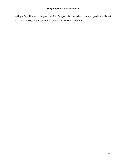Willapa Bay. Numerous agency staff in Oregon also provided input and guidance. Ranei Nomura, ODEQ, contributed the section on NPDES permitting.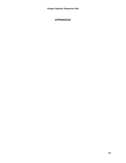## **APPENDICES**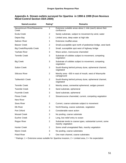## **Appendix A. Stream outlets surveyed for** *Spartina* **in 1998 & 1999 (from Noxious Weed Control Section ODA 2000)**

| Name/Location                      | Rating*        | <b>Remarks</b>                                                                  |
|------------------------------------|----------------|---------------------------------------------------------------------------------|
| Necanimcum River/Neawanna<br>Creek | 1              | Extensive suitable areas about 1 mile (each) above their<br>confluence          |
| Ecola Creek                        | $\overline{2}$ | Sandy substrate, subject to movement by wind, water                             |
| Depoe Bay                          | $\overline{2}$ | Limited area, deep water at high tide                                           |
| Salmon River                       | 1              | Extensive mudflat areas                                                         |
| <b>Beaver Creek</b>                | $\overline{2}$ | Small, susceptible spot north of pedestrian bridge, west bank                   |
| <b>Big Creek/Reynolds Creek</b>    | $\overline{2}$ | Small, susceptible spot west of highway bridge                                  |
| <b>Yachats River</b>               | 3              | Wave action, rivercourse channeled                                              |
| <b>Tenmile Creek</b>               | 3              | Substrate of cobbles subject to movement, competing<br>vegetation               |
| <b>Big Creek</b>                   | 3              | Substrate of cobbles subject to movement, competing<br>vegetation               |
| <b>Sutton Creek</b>                | 3              | South-flowing behind primary dune, ephemeral channel,<br>vegetated              |
| <b>Siltcoos River</b>              | $\overline{2}$ | Marshy area ~300 m east of mouth, west of Waxmyrtle<br>campground               |
| <b>Tahkenitch Creek</b>            | $\overline{2}$ | South-flowing behind primary dune, ephemeral channel,<br>vegetated              |
| <b>Tenmile Creek</b>               | $\overline{2}$ | Marshy areas, somewhat ephemeral, sedges present                                |
| <b>Twomile Creek</b>               | 3              | Sand substrate, ephemeral                                                       |
| Fourmile Creek                     | 3              | Sand substrate, ephemeral                                                       |
| <b>Floras Creek</b>                | $\overline{2}$ | Streamcourse channeled, current, competing vegetation                           |
| New River                          |                |                                                                                 |
| <b>Sixes River</b>                 | 3              | Current, coarse substrate subject to movement                                   |
| <b>Elk River</b>                   | 3              | North-flowing, coarse substrate, vegetation                                     |
| Port Orford                        | 3              | Considerable wave action                                                        |
| <b>Mussel Creek</b>                | 3              | No pooling, coarse substrate                                                    |
| Euchre Creek                       | $\overline{2}$ | Long, low-relief entry to ocean                                                 |
| Rogue River                        | $\overline{2}$ | Substrate tends to coarse types, substantial current, some<br>marshy vegetation |
| <b>Hunter Creek</b>                | $\overline{2}$ | Some small unvegetated flats, marshy vegetation                                 |
| <b>Myers Creek</b>                 | 3              | No pooling, coarse substrates                                                   |
| <b>Pistol River</b>                | 3              | One main channel, coarse substrates                                             |
|                                    |                |                                                                                 |

Ratings: 1 = Extensive areas suitable for *Spartina* invasion, 2 = Limited area, 3 = No expectation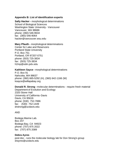## **Appendix B: List of identification experts**

**Sally Hacker -** morphological determinations School of Biological Sciences Washington State University - Vancouver Vancouver, WA 98686 phone: (360) 546-9634 fax: (360) 546-9064 hacker@vancouver.wsu.edu

#### **Mary Pfauth -** morphological determinations

Center for Lake and Reservoirs Portland State University P.O. Box 751 Portland, OR 97207-0751 phone: (503) 725-3834 fax: (503) 725-3834 h2mp@odin.pdx.edu

#### **Kathleen Sayce -** morphological determinations

P.O. Box 91 Nahcotta, WA 98637 phone: (360) 665-5292 (H), (360) 642-1166 (W) ksayce@willapabay.org

#### **Donald R. Strong -** molecular determinations - require fresh material

Department of Evolution and Ecology 2320 Storer Hall University of California -Davis Davis, CA 95616 phone: (530) 752-7886 fax: (530) 752-1449 drstrong@ucdavis.edu

#### AND

Bodega Marine Lab. Box 247 Bodega Bay, CA 94923 phone: (707) 875 2022 fax: (707) 875 2089

#### **Debra Ayres**

post doc - runs the molecular biology lab for Don Strong's group drayres@ucdavis.edu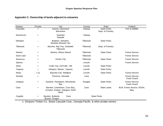| Appendix C: Ownership of lands adjacent to estuaries |  |
|------------------------------------------------------|--|
|------------------------------------------------------|--|

| Estuary        | Private   | City                                                                      | County    | <b>State</b>                            | Federal                                     |
|----------------|-----------|---------------------------------------------------------------------------|-----------|-----------------------------------------|---------------------------------------------|
| Columbia       | $+$       | Astoria, Hammond<br>Warrenton                                             | Clatsop   | <b>State Parks</b><br>Dept. of Forestry | Fish & Wildlife                             |
| Necanicum      | $\ddot{}$ | Gearhart<br>Seaside                                                       | Clatsop   |                                         |                                             |
| Nehalem        | $\ddot{}$ | Brighton, Nehalem,<br>Wheeler, Wheeler Hts.                               | Tillamook | <b>State Parks</b>                      |                                             |
| Tillamook      | $\ddot{}$ | Barview, Bay City, Garibaldi,<br>Tillamook                                | Tillamook | Dept. of Forestry                       |                                             |
| <b>Netarts</b> | $\ddot{}$ | Netarts, Wilson Beach                                                     | Tillamook | <b>State Parks</b>                      | <b>Forest Service</b>                       |
| Sand Lake      | +         |                                                                           | Tillamook |                                         | <b>Forest Service</b>                       |
| Nestucca       | +         | Pacific City                                                              | Tillamook | <b>State Parks</b>                      | <b>Forest Service</b>                       |
| Salmon         | $\ddot{}$ |                                                                           | Lincoln   |                                         | <b>Forest Service</b>                       |
| Siletz         | $\ddot{}$ | Cutler City, Kernville, Taft                                              | Lincoln   | <b>State Parks</b>                      |                                             |
| Yaquina        | $\ddot{}$ | Newport, Weiser, Yaquina                                                  | Lincoln   | <b>State Parks</b>                      |                                             |
| Alsea          | $+ (1)$   | Bayview City, Waldport                                                    | Lincoln   | <b>State Parks</b>                      | <b>Forest Service</b>                       |
| Siuslaw        | +         | Florence, Glenada                                                         | Lane      |                                         | <b>Forest Service</b><br><b>Coast Guard</b> |
| Umpqua         | $+$       | Gardiner, Reedsport, Winchester<br>Bay                                    | Douglas   | <b>State Parks</b>                      | <b>Forest Service</b><br><b>Coast Guard</b> |
| Coos           | +         | Barview, Charleston, Coos Bay,<br>Cooston, Empire, Glasgow, North<br>Bend | Coos      | <b>State Lands</b>                      | BLM, Forest Service, NOAA,<br>Navy          |
| Coquille       | $+$       | Bandon, Bullards,<br>Coos<br>Burner, Prosper                              |           | <b>State Parks</b>                      |                                             |

1. Simpson Timber Co., Boise Cascade Corp., Georgia Pacific, & other private owners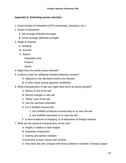## **Appendix D: Delimiting survey checklist**

- 1. Exact location of infestation (GPS coordinates, directions, etc.):
- 2. Extent of infestation:
	- A. Net acreage (infested acreage):
	- B. Gross acreage (affected acreage):
- 3. Stage of maturity:
	- A. Seedling
	- B. Juvenile
	- C. Mature
		- Vegetative only
		- Flowers
		- Seeds
- 4. Might there be similar areas infested?
- 5. Is there a need for additional detailed detection surveys?
	- A. Adjacent to the site determined to be infested
	- B. In other areas having apparent similarities
- 6. What characteristics of site use might have led to its being infested?
	- A. History of use of the site
	- B. Recent changes in site use
	- C. "Risky" uses of the site
	- D. Has the site been disturbed
	- E. Is it a shellfish harvest site
		- 1. Are shellfish produced commercially on or near the site
		- 2. Are shellfish harvested on or near the site
	- F. Is there evidence of dredging, or of deposition of dredge material
- 7. What are the physical characteristics of the site?
	- A. Height in relation to tidal heights
	- B. Substrate composition
	- C. Salinity and salinity variation
	- D.Exposure to wind, waves and currents
	- E. How does this site compare with those outlined in Daehler & Strong's paper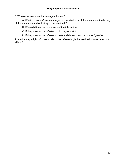8. Who owns, uses, and/or manages the site?

A. What do owners/users/managers of the site know of the infestation, the history of the infestation and/or history of the site itself?

B. When did they become aware of the infestation

C. If they know of the infestation did they report it

D. If they knew of the infestation before, did they know that it was *Spartina*

9. In what way might information about the infested sight be used to improve detection efforts?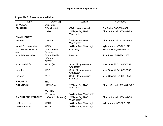# **Appendix E: Resources available**

| <b>Type</b>                      | Owner (#)                                        | Location                                    | Comments                       |
|----------------------------------|--------------------------------------------------|---------------------------------------------|--------------------------------|
| <b>SHOVELS</b>                   | ubiquitous                                       |                                             |                                |
| <b>MUDDERS</b>                   | ODA (2 sets)                                     | <b>ODA Noxious Weed</b>                     | Tim Butler, 503-986-4621       |
|                                  | <b>USFW</b>                                      | <sup>2</sup> Willapa Bay NWR,<br>Washington | Charlie Stenvall, 360-484-3482 |
| <b>SMALL BOATS</b>               |                                                  |                                             |                                |
| -various                         | <b>USFWS</b>                                     | <sup>2</sup> Willapa Bay NWR,<br>Washington | Charlie Stenvall, 360-484-3482 |
| -small Boston whaler             | <b>WSDA</b>                                      | <sup>3</sup> Willapa Bay, Washington        | Kyle Murphy, 360-902-1923      |
| - 17' Boston whaler &<br>trailer | <b>ODA - Shellfish</b><br>Program                | Coos Bay                                    | Steve Palmer, 541-756-2911     |
| - 16' Arima & trailer            | <b>ODA - Shellfish</b><br>Program<br><b>ODFW</b> | Newport                                     | John Paeth, 541-336-1402       |
| -outboard skiffs                 | WDSL(3)                                          | South Slough estuary,<br>Charleston         | Mike Graybill, 541-888-5558    |
| -kayaks                          | <b>WDSL</b>                                      | South Slough estuary,<br>Charleston         | Mike Graybill, 541-888-5558    |
| -canoes                          | <b>WDSL</b>                                      | South Slough estuary,<br>Charleston         | Mike Graybill, 541-888-5558    |
| <b>AIRCRAFT</b>                  | none                                             |                                             |                                |
| <b>AIR BOATS</b>                 | USFWS (4)                                        | <sup>2</sup> Willapa Bay NWR,<br>Washington | Charlie Stenvall, 360-484-3482 |
|                                  | WDNR(1)                                          |                                             |                                |
|                                  | WDFW (4)                                         | <sup>3</sup> Willapa Bay, Washington        |                                |
| <b>AMPHIBIOUS VEHICLES</b>       | USFWS (2 platforms)                              | <sup>2</sup> Willapa Bay NWR,<br>Washington | Charlie Stenvall, 360-484-3482 |
| -Marshmaster                     | <b>WSDA</b>                                      | <sup>3</sup> Willapa Bay, Washington        | Kyle Murphy, 360-902-1923      |
| -Marshmaster                     | <b>WDNR</b>                                      | <sup>3</sup> Willapa Bay, Washington        |                                |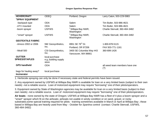| <b>HOVERCRAFT</b>                            | <b>ODEQ</b>                                      | Portland, Oregon                                | Larry Caton, 503-229-5983             |
|----------------------------------------------|--------------------------------------------------|-------------------------------------------------|---------------------------------------|
| <sup>1</sup> SPRAY EQUIPMENT                 |                                                  |                                                 |                                       |
| -backpack type                               | <b>ODA</b>                                       | Salem                                           | Tim Butler, 503-986-4621              |
| -ATV mounted                                 | <b>ODA</b>                                       | Salem                                           | Tim Butler, 503-986-4621              |
| -boom sprayer                                | <b>USFWS</b>                                     | <sup>2</sup> Willapa Bay NWR,<br>Washington     | Charlie Stenvall, 360-484-3482        |
| -"smart" sprayer                             | <b>USFWS</b>                                     | <sup>2</sup> Willapa Bay NWR,<br>Washington     | Charlie Stenvall, 360-484-3482        |
| <b>GEOTEXTILE FABRIC</b>                     |                                                  |                                                 |                                       |
| -Amoco 2002 or 2006                          | NW Geosynthetics,                                | 8951 SE 76 <sup>th</sup> Dr.                    | 1-800-878-5115                        |
|                                              | Inc.                                             | Portland, OR 97206                              | FAX 503-771-1161                      |
| - Mirafi 500                                 | CSI Geosynthetics,<br>Inc.                       | 3400 SE Columbia Way #43<br>Vancouver, WA 98661 | 360-699-1426                          |
| <b>GUTTER</b><br><b>SPIKES/STAPLES</b>       | local purchase<br>e.g., building supply<br>store |                                                 |                                       |
| <b>GPS handheld</b>                          | <b>ODA</b>                                       |                                                 | all weed team members have one<br>(?) |
| bags for hauling away?<br><b>Incinerator</b> | local purchase                                   |                                                 |                                       |

1. Herbicide spraying can only be done if necessary state and federal permits have been issued.

2. Any equipment owned by USFWS at Willapa Bay NWR is available for loan on a very limited basis (subject to their own needs) -not a reliable source. Loan of motorized equipment may require "borrowing" one of their pilots/operators.

3. Equipment owned by State of Washington agencies may be available for loan on a very limited basis (subject to their own needs) -not a reliable source. Loan of motorized equipment may require "borrowing" one of their pilots/operators.

**Air boats** - none owned by the state of Oregon; USFWS at Willapa Bay NWR has a fleet of 4 plus a boom sprayer and a "smart" sprayer which fit on the airboats; airboats not usable in windy condition or on sand, gravel, or rocky substrates;some special training required for pilots - training sometimes available in March or April at Willapa Bay ; those based in Willapa Bay are heavily used from May - October for *Spartina* control (contact: Charlie Stenvall, USFWS, 360-484-3482)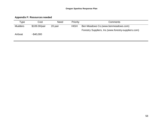# **Appendix F: Resources needed**

| Type           | Cost          | Need    | Priority    | Comments                                             |
|----------------|---------------|---------|-------------|------------------------------------------------------|
| <b>Mudders</b> | \$109.00/pair | 20 pair | <b>HIGH</b> | Ben Meadows Co. (www.benmeadows.com)                 |
|                |               |         |             | Forestry Suppliers, Inc.(www.forestry-suppliers.com) |
| Airboat        | ~1.640,000    |         |             |                                                      |
|                |               |         |             |                                                      |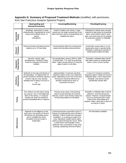## **Appendix G. Summary of Proposed Treatment Methods** (modified, with permission, from San Francisco Invasive Spartina Project)

|                           | Hand-pulling and<br><b>Manual Excavation</b>                                                                                                                                                                  | <b>Covering/Blanketing</b>                                                                                                                                                                                                                                                                                                                                                                 | <b>Flooding/Draining</b>                                                                                                                                                                                                                          |
|---------------------------|---------------------------------------------------------------------------------------------------------------------------------------------------------------------------------------------------------------|--------------------------------------------------------------------------------------------------------------------------------------------------------------------------------------------------------------------------------------------------------------------------------------------------------------------------------------------------------------------------------------------|---------------------------------------------------------------------------------------------------------------------------------------------------------------------------------------------------------------------------------------------------|
| Appropriate<br>Setting    | Seedlings, particularly in newly<br>infested areas. A ppropriate for small<br>clumps and isolated clones, or<br>sparse<br>infestations.                                                                       | Small to medium size clones. Larger<br>stands are not easily covered due to the<br>labor-intensive nature of transporting and<br>installing the fabric.                                                                                                                                                                                                                                    | Infestations in diked areas recently<br>restored to tidal action by breaching<br>dikes, areas behind sand or shell<br>spits, and areas that can be isolated<br>by temporary earthen or inflatable<br>berms.                                       |
| Removal<br>Technique      | Removal of plant and below ground<br>material up to 3.9 feet deep.                                                                                                                                            | Covering blocks light from reaching the<br>plants and interrupts photosynthesis.                                                                                                                                                                                                                                                                                                           | Create dike, pump water in or out.<br>Hypersaline water is quickly lethal.<br>Flooding or draining for periods of<br>weeks leads to plant mortality.                                                                                              |
| Requirements<br>Equipment | Shovels, trowels, bags,<br>wheelbarrows, handcarts, sleds,<br>trucks for transport of removed<br>material.                                                                                                    | Geo-textile fabric (Amoco 2002 or 2006,<br>or Mirafi 500), 7"-9" nails for anchoring<br>fabric. Fabric should extend 2 ft. beyond<br>edge of patch on all sides.                                                                                                                                                                                                                           | Sheetpiles, inflatable dikes that fill<br>with water during an outgoing tide.<br>Dams, trucks, cranes, pumps.                                                                                                                                     |
| Requirements<br>Workforce | Depends on the age and density of<br>the population. An approximate 10-<br>person workforce would be required<br>to pull or dig out a low-density<br>seedling area of about 0.25-acre in<br>an<br>8-hour day. | Approximately 2-5 persons would be<br>required to place covers over treatment<br>areas, depending on the size of the area.<br>One person would be effective for<br>periodic monitoring for tears or<br>movement of covers.                                                                                                                                                                 | A crew of 3-4 persons would be<br>required to place, inflate and remove<br>inflatable dikes. Crane required for<br>sheetpile. One person would<br>periodically monitor dike.                                                                      |
| Timing                    | This method can take place during<br>any season, but is most frequently<br>done in the spring. 1-2 visits per<br>location per year are needed to<br>prevent reestablishment or resprout.                      | Placing covers early in the growing<br>season would eliminate the need for<br>mow ing. Covers must remain in place for<br>two growing seasons to kill plants.                                                                                                                                                                                                                              | Sheetpile or Inflatable dike could be<br>placed or removed during any<br>season. However, removal should<br>not occur during the fall or early<br>winter when seed dispersal is<br>greatest. Dikes could stay in place for<br>as long as 2 years. |
| Effectiveness             | Depends on the diligence of the<br>work crew. Any portion of rhizome<br>left behind can potentially sprout<br>and re-establish the clone.<br>Complete removal results in<br>eradication.                      | Covering has been successful in the S.F.<br>Estuary on small patches up to 36 feet in<br>diameter. Failure results from improper<br>installation, or covering too large of an<br>area. Improperly sealed seams allow<br>plants to grow through the covers. Wind<br>or tidal action may dislodge covers.<br>Sediment may accumulate on top of the<br>covering, hampering removal of fabric. | No information available.                                                                                                                                                                                                                         |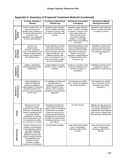| Appendix G. Summary of Proposed Treatment Methods (continued) |  |  |  |
|---------------------------------------------------------------|--|--|--|
|---------------------------------------------------------------|--|--|--|

|                           | <b>Pruning, Mowing &amp;</b><br><b>Flaming</b>                                                                                                                                                                                                                                            | <b>Crushing &amp; Mechanical</b><br><b>Smothering</b>                                                                                                                                                                                                                                  | <b>Mechanical Excavation</b><br>& Dredging                                                                                                                                                                                                 | Mechanical ripping/<br>flailing/maceration                                                                                                                                                 |
|---------------------------|-------------------------------------------------------------------------------------------------------------------------------------------------------------------------------------------------------------------------------------------------------------------------------------------|----------------------------------------------------------------------------------------------------------------------------------------------------------------------------------------------------------------------------------------------------------------------------------------|--------------------------------------------------------------------------------------------------------------------------------------------------------------------------------------------------------------------------------------------|--------------------------------------------------------------------------------------------------------------------------------------------------------------------------------------------|
| Appropriate<br>Setting    | Small to medium area. To<br>reduce biomass and<br>facilitate other methods, or<br>to remove inflorescences<br>to prevent cross-<br>pollination. Use repeatedly<br>to stress and kill plants.                                                                                              | Meadows, large individual<br>clones >25 feet in diameter<br>or clusters of clones. May<br>be used in conjunction with<br>mowing.                                                                                                                                                       | Meadows, large individual<br>clones >25 feet in diameter<br>or clusters of clones in the<br>mid to lower tidal zone<br>where the site can be<br>accessed by floating<br>dredge, or in the upper<br>marsh where accessible by<br>excavator. | Meadows, large individual<br>clones >25 feet in diameter<br>or clusters of clones.                                                                                                         |
| Removal<br>Technique      | Pruning-clip<br>inflorescences.<br>Mowing- cut plant at,<br>near, or just below the soil<br>surface for best results.<br>Flaming- use handtorch to<br>burn inflorescence.                                                                                                                 | Small amphibious vehicles<br>with tracks trample new<br>shoots and culms (stems)<br>and covers them with a thin<br>layer of sediment. This<br>sediment smothers the<br>plant, preventing the use of<br>stems to transport oxygen<br>to roots and rhizomes.                             | Cutterhead dredge (or other<br>type) on floating barge or<br>excavator removes entire<br>plant and root mass to a<br>depth of 1 foot, and<br>disposes in upland disposal<br>or approved tidal marsh<br>restoration site.                   | Amphibious vehicles with<br>tracks rip and shred root<br>mass below the soil surface<br>to a maximum depth of 1<br>foot.                                                                   |
| Equipment<br>Requirements | Clippers, weedeaters,<br>small mechanical cutters.<br>handtorches.                                                                                                                                                                                                                        | Small amphibious tracked<br>vehicles. Trailer or barge for<br>transport.                                                                                                                                                                                                               | Dredge or excavator, trucks<br>to remove material (if not<br>slurried and piped to<br>destination)                                                                                                                                         | Amphibious tracked vehicle<br>equipped for subsoil<br>implements for ripping roots.                                                                                                        |
| Workforce<br>Requirements | Varies depending on<br>method & height and<br>density of vegetation.<br>Approximately 2-3 persons<br>required to treat a 0.25-<br>acre area with weedeaters<br>over 8 hours.                                                                                                              | 1-2 amphibious vehicles per<br>site depending on<br>infestation. One operator<br>will be needed for each<br>vehicle, and 1-2 persons<br>needed for transporting the<br>equipment.                                                                                                      | One operator per vehicle,<br>and 1-2 persons needed on<br>site during operations.                                                                                                                                                          | One operator per vehicle,<br>and 1-2 persons may be<br>needed on site during<br>operations.                                                                                                |
| Timing                    | Mowing can be done<br>during any season.<br>Biomass is less in late fall<br>and winter, facilitating this<br>method. Seedheads form<br>in summer and fall.<br>Eradication by mowing<br>alone would require up to<br>4-6 treatments annually,<br>for a minimum of 2 years.                 | Mechanical smothering is<br>used during the fall and<br>winter as close to the period<br>of dormancy as possible.<br>Culms from the previous<br>growing season will have<br>died back for the winter and<br>be brittle and easily broken.<br>Trampling would occur once<br>per season. | Any time of year.                                                                                                                                                                                                                          | Ripping can take place any<br>time of year. Ripping during<br>the late fall and winter is<br>facilitated by winter dieback<br>which results in significantly<br>less above ground biomass. |
| Effectiveness             | Results of field tests are<br>variable, and dependent<br>on the frequency and the<br>start date. Repeated<br>application eventually<br>weakens rhizomes and<br>reduces energy reserves.<br>One application may<br>invigorate a plant.<br>Therefore, multiple<br>treatments are necessary. | No information available.                                                                                                                                                                                                                                                              | Large-scale demonstration<br>work in Washington<br>indicates a high level of<br>efficacy.                                                                                                                                                  | Large-scale demonstration<br>work in Washington<br>indicates a high level of<br>efficacy.                                                                                                  |